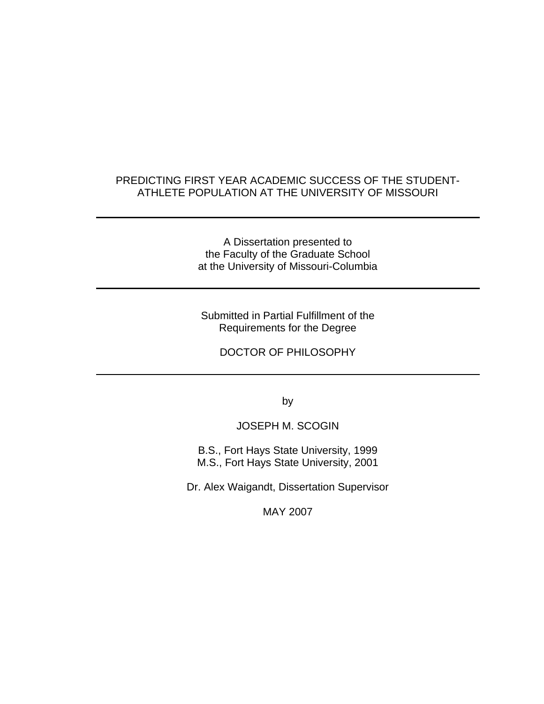### PREDICTING FIRST YEAR ACADEMIC SUCCESS OF THE STUDENT-ATHLETE POPULATION AT THE UNIVERSITY OF MISSOURI

A Dissertation presented to the Faculty of the Graduate School at the University of Missouri-Columbia

Submitted in Partial Fulfillment of the Requirements for the Degree

DOCTOR OF PHILOSOPHY

by

JOSEPH M. SCOGIN

B.S., Fort Hays State University, 1999 M.S., Fort Hays State University, 2001

Dr. Alex Waigandt, Dissertation Supervisor

MAY 2007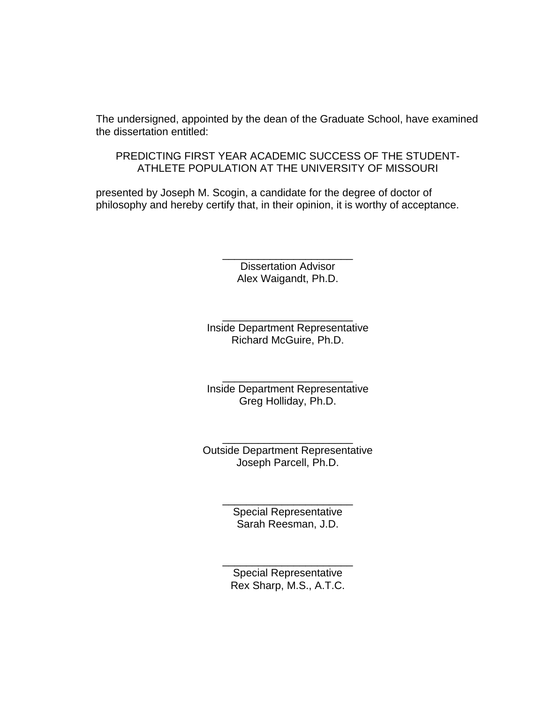The undersigned, appointed by the dean of the Graduate School, have examined the dissertation entitled:

PREDICTING FIRST YEAR ACADEMIC SUCCESS OF THE STUDENT-ATHLETE POPULATION AT THE UNIVERSITY OF MISSOURI

presented by Joseph M. Scogin, a candidate for the degree of doctor of philosophy and hereby certify that, in their opinion, it is worthy of acceptance.

> Dissertation Advisor Alex Waigandt, Ph.D.

\_\_\_\_\_\_\_\_\_\_\_\_\_\_\_\_\_\_\_\_\_\_

\_\_\_\_\_\_\_\_\_\_\_\_\_\_\_\_\_\_\_\_\_\_ Inside Department Representative Richard McGuire, Ph.D.

\_\_\_\_\_\_\_\_\_\_\_\_\_\_\_\_\_\_\_\_\_\_ Inside Department Representative Greg Holliday, Ph.D.

\_\_\_\_\_\_\_\_\_\_\_\_\_\_\_\_\_\_\_\_\_\_ Outside Department Representative Joseph Parcell, Ph.D.

> \_\_\_\_\_\_\_\_\_\_\_\_\_\_\_\_\_\_\_\_\_\_ Special Representative Sarah Reesman, J.D.

Special Representative Rex Sharp, M.S., A.T.C.

\_\_\_\_\_\_\_\_\_\_\_\_\_\_\_\_\_\_\_\_\_\_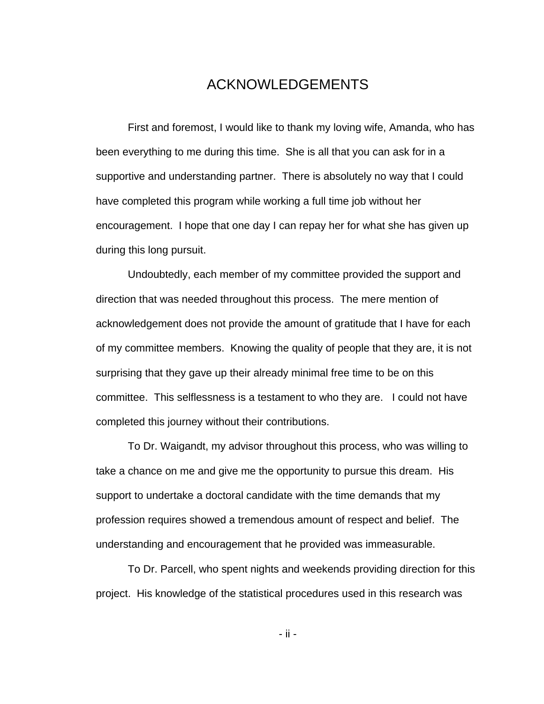## ACKNOWLEDGEMENTS

 First and foremost, I would like to thank my loving wife, Amanda, who has been everything to me during this time. She is all that you can ask for in a supportive and understanding partner. There is absolutely no way that I could have completed this program while working a full time job without her encouragement. I hope that one day I can repay her for what she has given up during this long pursuit.

 Undoubtedly, each member of my committee provided the support and direction that was needed throughout this process. The mere mention of acknowledgement does not provide the amount of gratitude that I have for each of my committee members. Knowing the quality of people that they are, it is not surprising that they gave up their already minimal free time to be on this committee. This selflessness is a testament to who they are. I could not have completed this journey without their contributions.

 To Dr. Waigandt, my advisor throughout this process, who was willing to take a chance on me and give me the opportunity to pursue this dream. His support to undertake a doctoral candidate with the time demands that my profession requires showed a tremendous amount of respect and belief. The understanding and encouragement that he provided was immeasurable.

 To Dr. Parcell, who spent nights and weekends providing direction for this project. His knowledge of the statistical procedures used in this research was

- ii -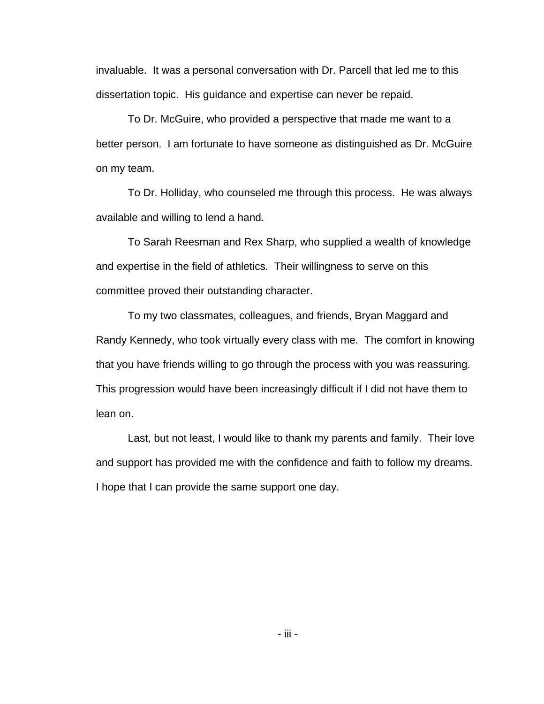invaluable. It was a personal conversation with Dr. Parcell that led me to this dissertation topic. His guidance and expertise can never be repaid.

 To Dr. McGuire, who provided a perspective that made me want to a better person. I am fortunate to have someone as distinguished as Dr. McGuire on my team.

 To Dr. Holliday, who counseled me through this process. He was always available and willing to lend a hand.

To Sarah Reesman and Rex Sharp, who supplied a wealth of knowledge and expertise in the field of athletics. Their willingness to serve on this committee proved their outstanding character.

To my two classmates, colleagues, and friends, Bryan Maggard and Randy Kennedy, who took virtually every class with me. The comfort in knowing that you have friends willing to go through the process with you was reassuring. This progression would have been increasingly difficult if I did not have them to lean on.

Last, but not least, I would like to thank my parents and family. Their love and support has provided me with the confidence and faith to follow my dreams. I hope that I can provide the same support one day.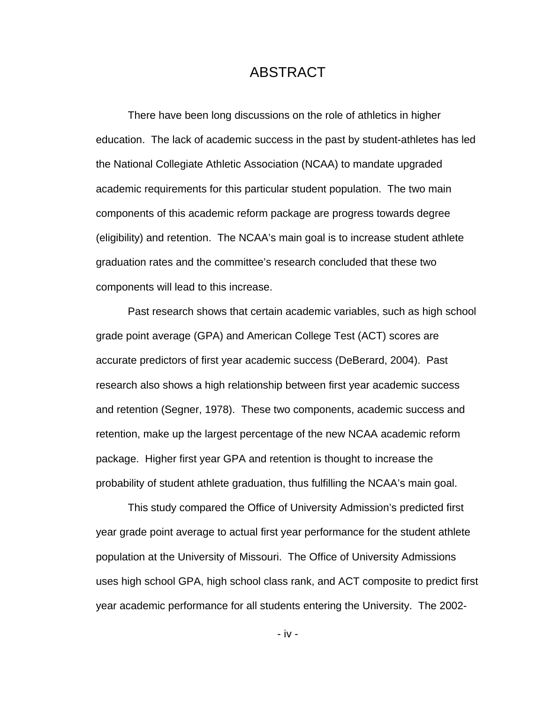## ABSTRACT

There have been long discussions on the role of athletics in higher education. The lack of academic success in the past by student-athletes has led the National Collegiate Athletic Association (NCAA) to mandate upgraded academic requirements for this particular student population. The two main components of this academic reform package are progress towards degree (eligibility) and retention. The NCAA's main goal is to increase student athlete graduation rates and the committee's research concluded that these two components will lead to this increase.

Past research shows that certain academic variables, such as high school grade point average (GPA) and American College Test (ACT) scores are accurate predictors of first year academic success (DeBerard, 2004). Past research also shows a high relationship between first year academic success and retention (Segner, 1978). These two components, academic success and retention, make up the largest percentage of the new NCAA academic reform package. Higher first year GPA and retention is thought to increase the probability of student athlete graduation, thus fulfilling the NCAA's main goal.

This study compared the Office of University Admission's predicted first year grade point average to actual first year performance for the student athlete population at the University of Missouri. The Office of University Admissions uses high school GPA, high school class rank, and ACT composite to predict first year academic performance for all students entering the University. The 2002-

- iv -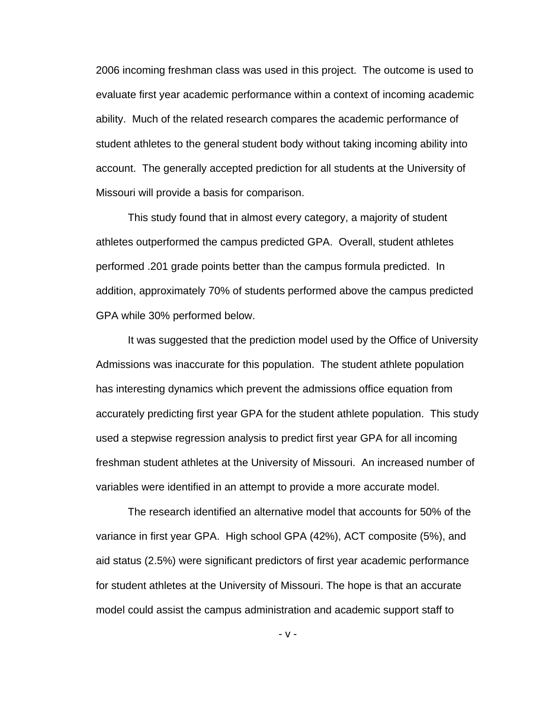2006 incoming freshman class was used in this project. The outcome is used to evaluate first year academic performance within a context of incoming academic ability. Much of the related research compares the academic performance of student athletes to the general student body without taking incoming ability into account. The generally accepted prediction for all students at the University of Missouri will provide a basis for comparison.

This study found that in almost every category, a majority of student athletes outperformed the campus predicted GPA. Overall, student athletes performed .201 grade points better than the campus formula predicted. In addition, approximately 70% of students performed above the campus predicted GPA while 30% performed below.

It was suggested that the prediction model used by the Office of University Admissions was inaccurate for this population. The student athlete population has interesting dynamics which prevent the admissions office equation from accurately predicting first year GPA for the student athlete population. This study used a stepwise regression analysis to predict first year GPA for all incoming freshman student athletes at the University of Missouri. An increased number of variables were identified in an attempt to provide a more accurate model.

The research identified an alternative model that accounts for 50% of the variance in first year GPA. High school GPA (42%), ACT composite (5%), and aid status (2.5%) were significant predictors of first year academic performance for student athletes at the University of Missouri. The hope is that an accurate model could assist the campus administration and academic support staff to

- v -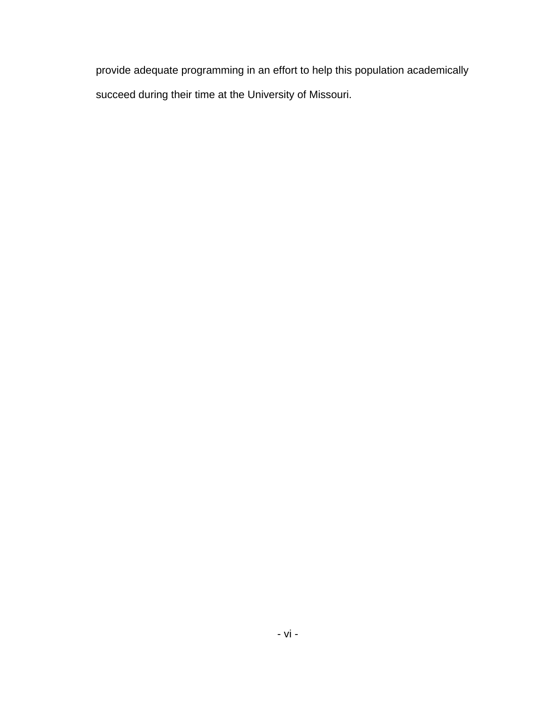provide adequate programming in an effort to help this population academically succeed during their time at the University of Missouri.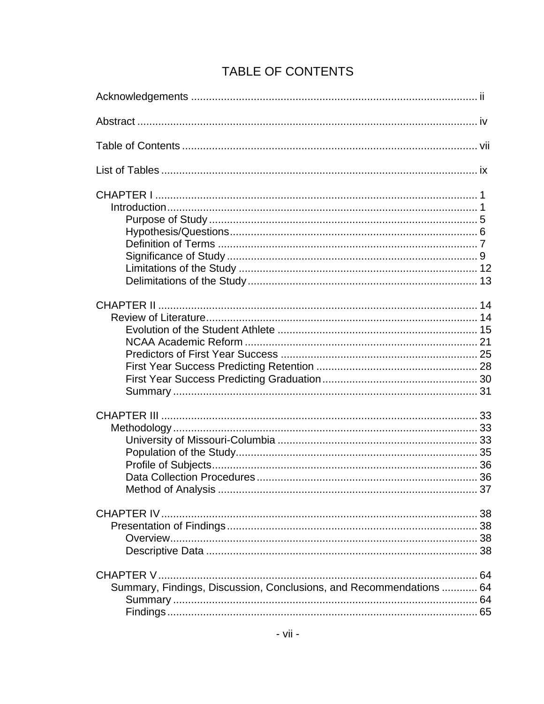## TABLE OF CONTENTS

| Summary, Findings, Discussion, Conclusions, and Recommendations  64 |  |
|---------------------------------------------------------------------|--|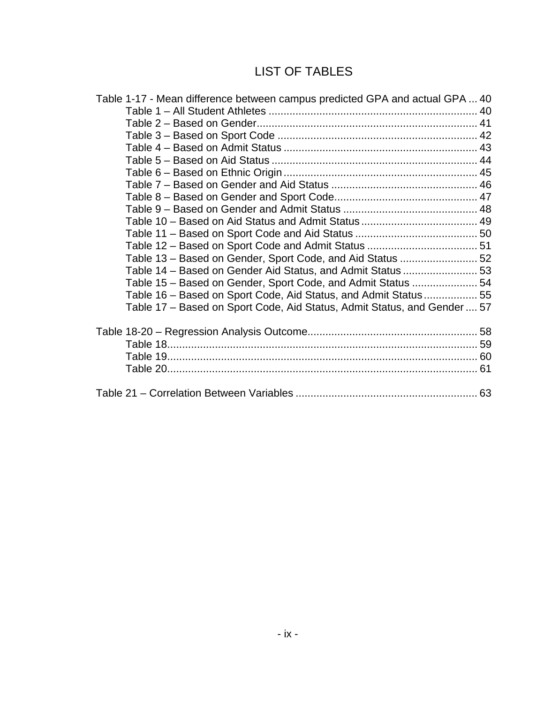## LIST OF TABLES

| Table 1-17 - Mean difference between campus predicted GPA and actual GPA  40 |  |
|------------------------------------------------------------------------------|--|
|                                                                              |  |
|                                                                              |  |
|                                                                              |  |
|                                                                              |  |
|                                                                              |  |
|                                                                              |  |
|                                                                              |  |
|                                                                              |  |
|                                                                              |  |
|                                                                              |  |
|                                                                              |  |
|                                                                              |  |
| Table 13 - Based on Gender, Sport Code, and Aid Status  52                   |  |
| Table 14 - Based on Gender Aid Status, and Admit Status  53                  |  |
| Table 15 - Based on Gender, Sport Code, and Admit Status  54                 |  |
| Table 16 – Based on Sport Code, Aid Status, and Admit Status 55              |  |
| Table 17 - Based on Sport Code, Aid Status, Admit Status, and Gender  57     |  |
|                                                                              |  |
|                                                                              |  |
|                                                                              |  |
|                                                                              |  |
|                                                                              |  |
|                                                                              |  |
|                                                                              |  |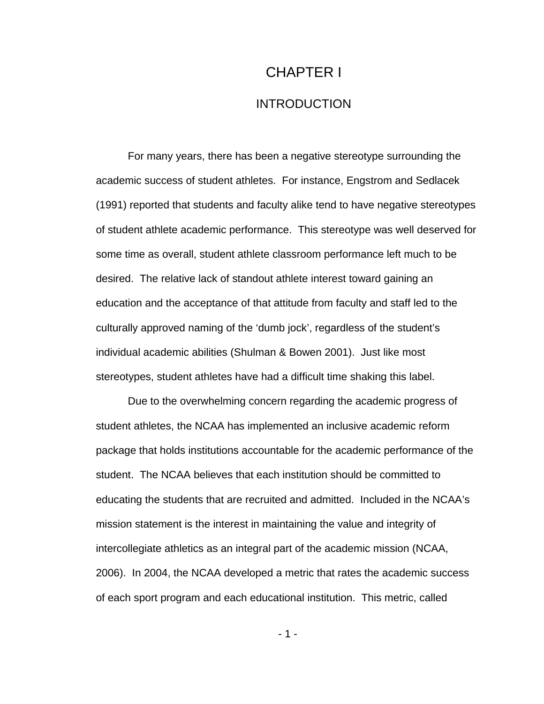# CHAPTER I INTRODUCTION

For many years, there has been a negative stereotype surrounding the academic success of student athletes. For instance, Engstrom and Sedlacek (1991) reported that students and faculty alike tend to have negative stereotypes of student athlete academic performance. This stereotype was well deserved for some time as overall, student athlete classroom performance left much to be desired. The relative lack of standout athlete interest toward gaining an education and the acceptance of that attitude from faculty and staff led to the culturally approved naming of the 'dumb jock', regardless of the student's individual academic abilities (Shulman & Bowen 2001). Just like most stereotypes, student athletes have had a difficult time shaking this label.

Due to the overwhelming concern regarding the academic progress of student athletes, the NCAA has implemented an inclusive academic reform package that holds institutions accountable for the academic performance of the student. The NCAA believes that each institution should be committed to educating the students that are recruited and admitted. Included in the NCAA's mission statement is the interest in maintaining the value and integrity of intercollegiate athletics as an integral part of the academic mission (NCAA, 2006). In 2004, the NCAA developed a metric that rates the academic success of each sport program and each educational institution. This metric, called

- 1 -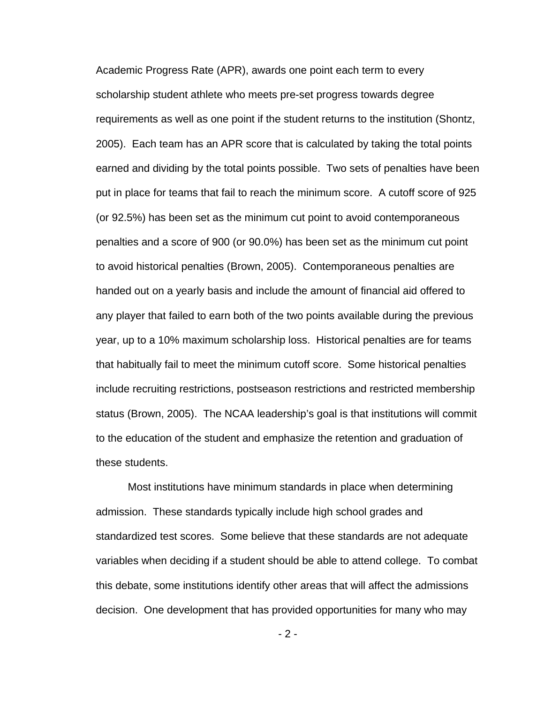Academic Progress Rate (APR), awards one point each term to every scholarship student athlete who meets pre-set progress towards degree requirements as well as one point if the student returns to the institution (Shontz, 2005). Each team has an APR score that is calculated by taking the total points earned and dividing by the total points possible. Two sets of penalties have been put in place for teams that fail to reach the minimum score. A cutoff score of 925 (or 92.5%) has been set as the minimum cut point to avoid contemporaneous penalties and a score of 900 (or 90.0%) has been set as the minimum cut point to avoid historical penalties (Brown, 2005). Contemporaneous penalties are handed out on a yearly basis and include the amount of financial aid offered to any player that failed to earn both of the two points available during the previous year, up to a 10% maximum scholarship loss. Historical penalties are for teams that habitually fail to meet the minimum cutoff score. Some historical penalties include recruiting restrictions, postseason restrictions and restricted membership status (Brown, 2005). The NCAA leadership's goal is that institutions will commit to the education of the student and emphasize the retention and graduation of these students.

Most institutions have minimum standards in place when determining admission. These standards typically include high school grades and standardized test scores. Some believe that these standards are not adequate variables when deciding if a student should be able to attend college. To combat this debate, some institutions identify other areas that will affect the admissions decision. One development that has provided opportunities for many who may

 $-2 -$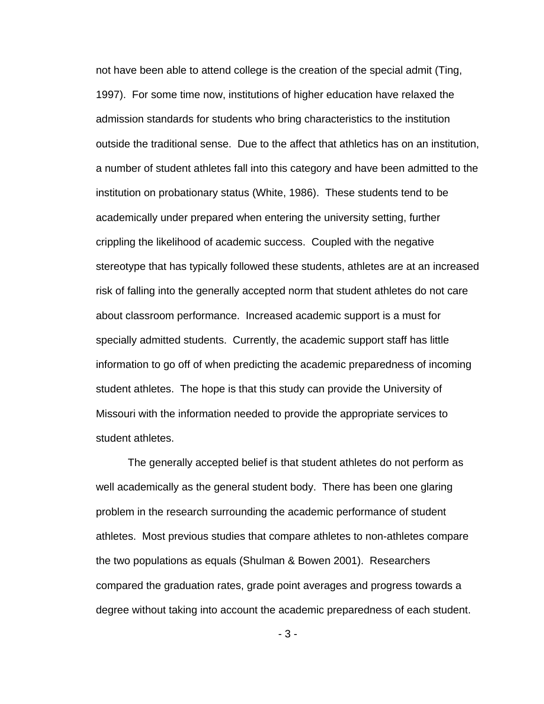not have been able to attend college is the creation of the special admit (Ting, 1997). For some time now, institutions of higher education have relaxed the admission standards for students who bring characteristics to the institution outside the traditional sense. Due to the affect that athletics has on an institution, a number of student athletes fall into this category and have been admitted to the institution on probationary status (White, 1986). These students tend to be academically under prepared when entering the university setting, further crippling the likelihood of academic success. Coupled with the negative stereotype that has typically followed these students, athletes are at an increased risk of falling into the generally accepted norm that student athletes do not care about classroom performance. Increased academic support is a must for specially admitted students. Currently, the academic support staff has little information to go off of when predicting the academic preparedness of incoming student athletes. The hope is that this study can provide the University of Missouri with the information needed to provide the appropriate services to student athletes.

The generally accepted belief is that student athletes do not perform as well academically as the general student body. There has been one glaring problem in the research surrounding the academic performance of student athletes. Most previous studies that compare athletes to non-athletes compare the two populations as equals (Shulman & Bowen 2001). Researchers compared the graduation rates, grade point averages and progress towards a degree without taking into account the academic preparedness of each student.

- 3 -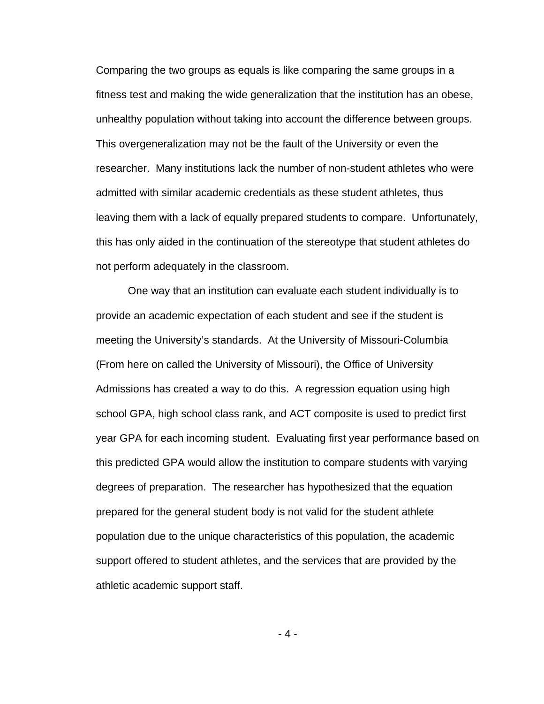Comparing the two groups as equals is like comparing the same groups in a fitness test and making the wide generalization that the institution has an obese, unhealthy population without taking into account the difference between groups. This overgeneralization may not be the fault of the University or even the researcher. Many institutions lack the number of non-student athletes who were admitted with similar academic credentials as these student athletes, thus leaving them with a lack of equally prepared students to compare. Unfortunately, this has only aided in the continuation of the stereotype that student athletes do not perform adequately in the classroom.

One way that an institution can evaluate each student individually is to provide an academic expectation of each student and see if the student is meeting the University's standards. At the University of Missouri-Columbia (From here on called the University of Missouri), the Office of University Admissions has created a way to do this. A regression equation using high school GPA, high school class rank, and ACT composite is used to predict first year GPA for each incoming student. Evaluating first year performance based on this predicted GPA would allow the institution to compare students with varying degrees of preparation. The researcher has hypothesized that the equation prepared for the general student body is not valid for the student athlete population due to the unique characteristics of this population, the academic support offered to student athletes, and the services that are provided by the athletic academic support staff.

- 4 -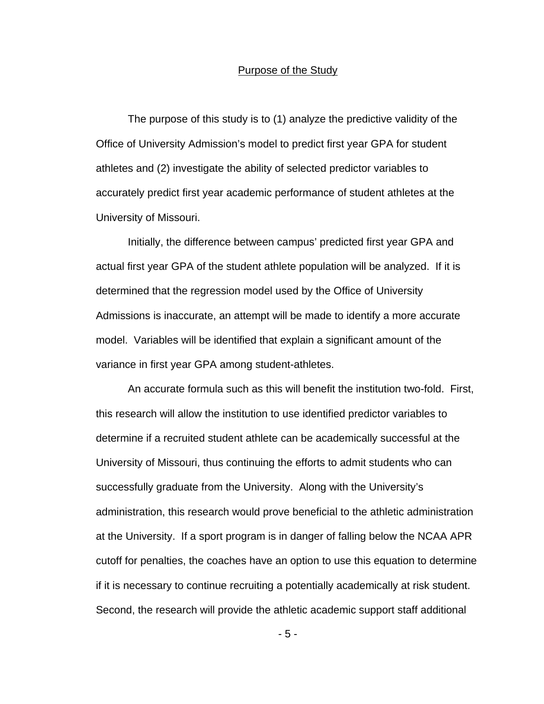#### Purpose of the Study

 The purpose of this study is to (1) analyze the predictive validity of the Office of University Admission's model to predict first year GPA for student athletes and (2) investigate the ability of selected predictor variables to accurately predict first year academic performance of student athletes at the University of Missouri.

Initially, the difference between campus' predicted first year GPA and actual first year GPA of the student athlete population will be analyzed. If it is determined that the regression model used by the Office of University Admissions is inaccurate, an attempt will be made to identify a more accurate model. Variables will be identified that explain a significant amount of the variance in first year GPA among student-athletes.

An accurate formula such as this will benefit the institution two-fold. First, this research will allow the institution to use identified predictor variables to determine if a recruited student athlete can be academically successful at the University of Missouri, thus continuing the efforts to admit students who can successfully graduate from the University. Along with the University's administration, this research would prove beneficial to the athletic administration at the University. If a sport program is in danger of falling below the NCAA APR cutoff for penalties, the coaches have an option to use this equation to determine if it is necessary to continue recruiting a potentially academically at risk student. Second, the research will provide the athletic academic support staff additional

- 5 -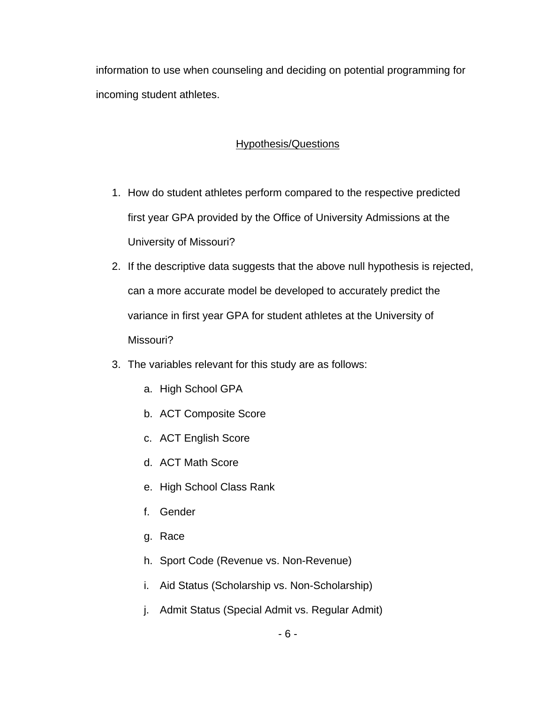information to use when counseling and deciding on potential programming for incoming student athletes.

## Hypothesis/Questions

- 1. How do student athletes perform compared to the respective predicted first year GPA provided by the Office of University Admissions at the University of Missouri?
- 2. If the descriptive data suggests that the above null hypothesis is rejected, can a more accurate model be developed to accurately predict the variance in first year GPA for student athletes at the University of Missouri?
- 3. The variables relevant for this study are as follows:
	- a. High School GPA
	- b. ACT Composite Score
	- c. ACT English Score
	- d. ACT Math Score
	- e. High School Class Rank
	- f. Gender
	- g. Race
	- h. Sport Code (Revenue vs. Non-Revenue)
	- i. Aid Status (Scholarship vs. Non-Scholarship)
	- j. Admit Status (Special Admit vs. Regular Admit)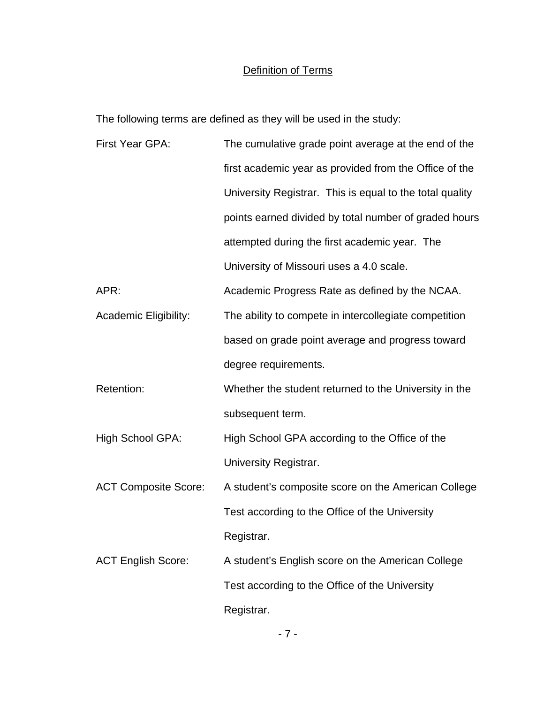## Definition of Terms

The following terms are defined as they will be used in the study:

| First Year GPA:              | The cumulative grade point average at the end of the     |
|------------------------------|----------------------------------------------------------|
|                              | first academic year as provided from the Office of the   |
|                              | University Registrar. This is equal to the total quality |
|                              | points earned divided by total number of graded hours    |
|                              | attempted during the first academic year. The            |
|                              | University of Missouri uses a 4.0 scale.                 |
| APR:                         | Academic Progress Rate as defined by the NCAA.           |
| <b>Academic Eligibility:</b> | The ability to compete in intercollegiate competition    |
|                              | based on grade point average and progress toward         |
|                              | degree requirements.                                     |
| Retention:                   | Whether the student returned to the University in the    |
|                              | subsequent term.                                         |
| <b>High School GPA:</b>      | High School GPA according to the Office of the           |
|                              | University Registrar.                                    |
| <b>ACT Composite Score:</b>  | A student's composite score on the American College      |
|                              | Test according to the Office of the University           |
|                              | Registrar.                                               |
| <b>ACT English Score:</b>    | A student's English score on the American College        |
|                              | Test according to the Office of the University           |
|                              | Registrar.                                               |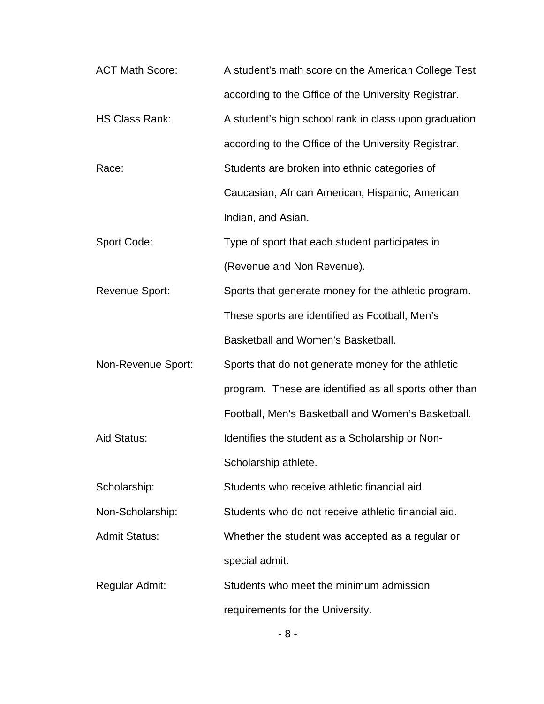| <b>ACT Math Score:</b> | A student's math score on the American College Test    |
|------------------------|--------------------------------------------------------|
|                        | according to the Office of the University Registrar.   |
| <b>HS Class Rank:</b>  | A student's high school rank in class upon graduation  |
|                        | according to the Office of the University Registrar.   |
| Race:                  | Students are broken into ethnic categories of          |
|                        | Caucasian, African American, Hispanic, American        |
|                        | Indian, and Asian.                                     |
| Sport Code:            | Type of sport that each student participates in        |
|                        | (Revenue and Non Revenue).                             |
| <b>Revenue Sport:</b>  | Sports that generate money for the athletic program.   |
|                        | These sports are identified as Football, Men's         |
|                        | Basketball and Women's Basketball.                     |
| Non-Revenue Sport:     | Sports that do not generate money for the athletic     |
|                        | program. These are identified as all sports other than |
|                        | Football, Men's Basketball and Women's Basketball.     |
| Aid Status:            | Identifies the student as a Scholarship or Non-        |
|                        | Scholarship athlete.                                   |
| Scholarship:           | Students who receive athletic financial aid.           |
| Non-Scholarship:       | Students who do not receive athletic financial aid.    |
| <b>Admit Status:</b>   | Whether the student was accepted as a regular or       |
|                        | special admit.                                         |
| Regular Admit:         | Students who meet the minimum admission                |
|                        | requirements for the University.                       |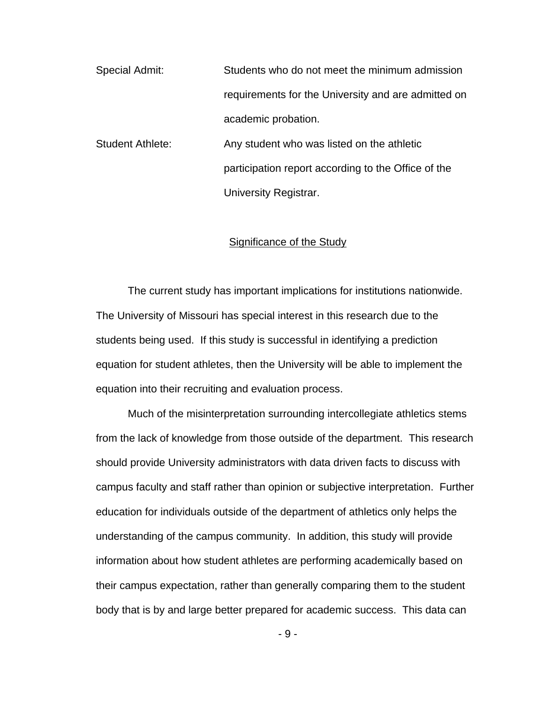Special Admit: Students who do not meet the minimum admission requirements for the University and are admitted on academic probation.

Student Athlete: Any student who was listed on the athletic participation report according to the Office of the University Registrar.

#### Significance of the Study

 The current study has important implications for institutions nationwide. The University of Missouri has special interest in this research due to the students being used. If this study is successful in identifying a prediction equation for student athletes, then the University will be able to implement the equation into their recruiting and evaluation process.

 Much of the misinterpretation surrounding intercollegiate athletics stems from the lack of knowledge from those outside of the department. This research should provide University administrators with data driven facts to discuss with campus faculty and staff rather than opinion or subjective interpretation. Further education for individuals outside of the department of athletics only helps the understanding of the campus community. In addition, this study will provide information about how student athletes are performing academically based on their campus expectation, rather than generally comparing them to the student body that is by and large better prepared for academic success. This data can

- 9 -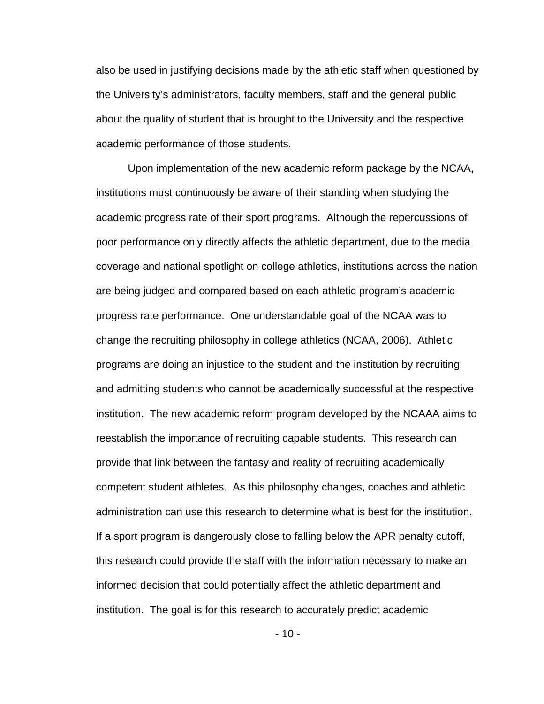also be used in justifying decisions made by the athletic staff when questioned by the University's administrators, faculty members, staff and the general public about the quality of student that is brought to the University and the respective academic performance of those students.

Upon implementation of the new academic reform package by the NCAA, institutions must continuously be aware of their standing when studying the academic progress rate of their sport programs. Although the repercussions of poor performance only directly affects the athletic department, due to the media coverage and national spotlight on college athletics, institutions across the nation are being judged and compared based on each athletic program's academic progress rate performance. One understandable goal of the NCAA was to change the recruiting philosophy in college athletics (NCAA, 2006). Athletic programs are doing an injustice to the student and the institution by recruiting and admitting students who cannot be academically successful at the respective institution. The new academic reform program developed by the NCAAA aims to reestablish the importance of recruiting capable students. This research can provide that link between the fantasy and reality of recruiting academically competent student athletes. As this philosophy changes, coaches and athletic administration can use this research to determine what is best for the institution. If a sport program is dangerously close to falling below the APR penalty cutoff, this research could provide the staff with the information necessary to make an informed decision that could potentially affect the athletic department and institution. The goal is for this research to accurately predict academic

 $-10-$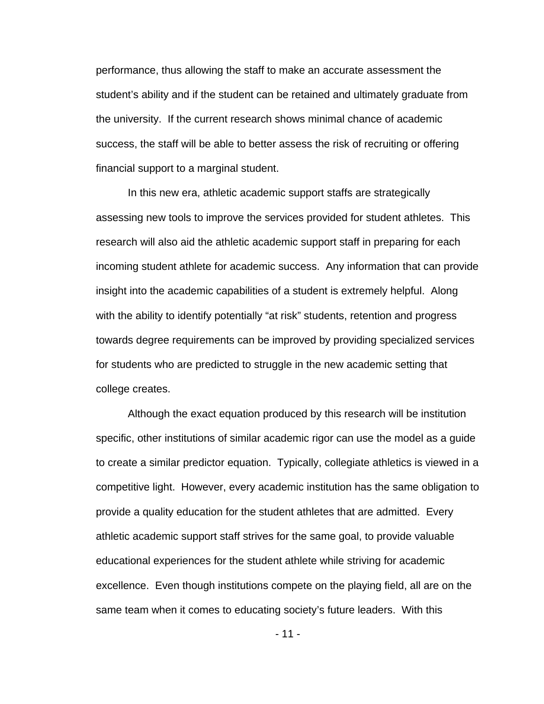performance, thus allowing the staff to make an accurate assessment the student's ability and if the student can be retained and ultimately graduate from the university. If the current research shows minimal chance of academic success, the staff will be able to better assess the risk of recruiting or offering financial support to a marginal student.

In this new era, athletic academic support staffs are strategically assessing new tools to improve the services provided for student athletes. This research will also aid the athletic academic support staff in preparing for each incoming student athlete for academic success. Any information that can provide insight into the academic capabilities of a student is extremely helpful. Along with the ability to identify potentially "at risk" students, retention and progress towards degree requirements can be improved by providing specialized services for students who are predicted to struggle in the new academic setting that college creates.

Although the exact equation produced by this research will be institution specific, other institutions of similar academic rigor can use the model as a guide to create a similar predictor equation. Typically, collegiate athletics is viewed in a competitive light. However, every academic institution has the same obligation to provide a quality education for the student athletes that are admitted. Every athletic academic support staff strives for the same goal, to provide valuable educational experiences for the student athlete while striving for academic excellence. Even though institutions compete on the playing field, all are on the same team when it comes to educating society's future leaders. With this

- 11 -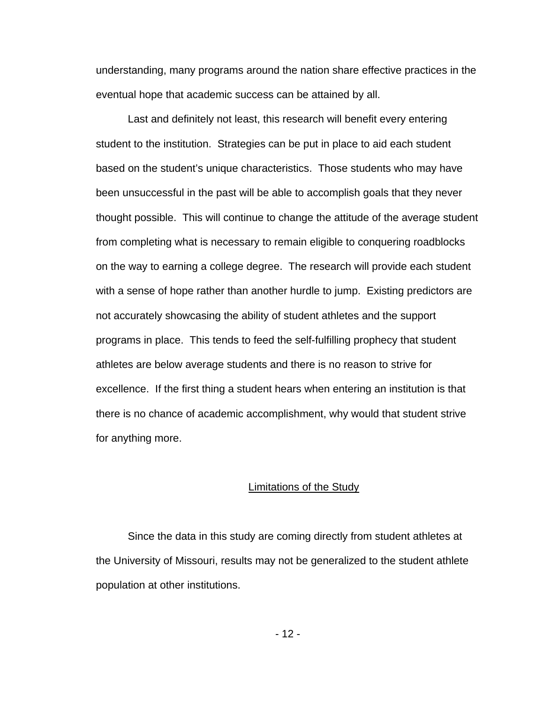understanding, many programs around the nation share effective practices in the eventual hope that academic success can be attained by all.

Last and definitely not least, this research will benefit every entering student to the institution. Strategies can be put in place to aid each student based on the student's unique characteristics. Those students who may have been unsuccessful in the past will be able to accomplish goals that they never thought possible. This will continue to change the attitude of the average student from completing what is necessary to remain eligible to conquering roadblocks on the way to earning a college degree. The research will provide each student with a sense of hope rather than another hurdle to jump. Existing predictors are not accurately showcasing the ability of student athletes and the support programs in place. This tends to feed the self-fulfilling prophecy that student athletes are below average students and there is no reason to strive for excellence. If the first thing a student hears when entering an institution is that there is no chance of academic accomplishment, why would that student strive for anything more.

#### Limitations of the Study

Since the data in this study are coming directly from student athletes at the University of Missouri, results may not be generalized to the student athlete population at other institutions.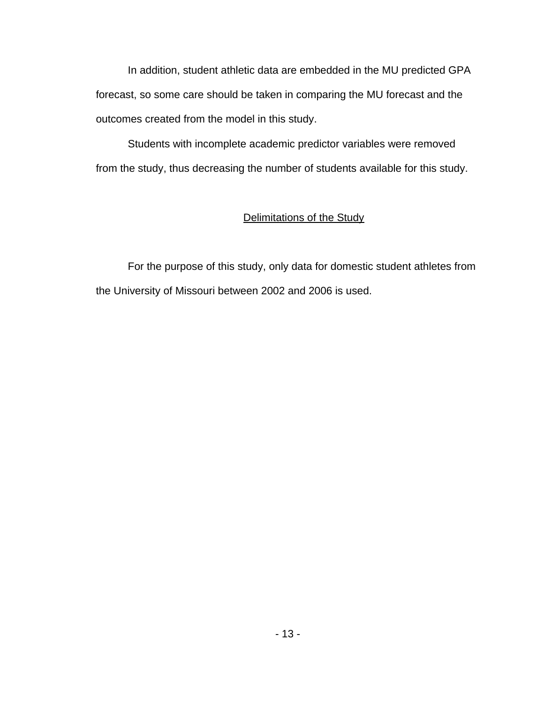In addition, student athletic data are embedded in the MU predicted GPA forecast, so some care should be taken in comparing the MU forecast and the outcomes created from the model in this study.

Students with incomplete academic predictor variables were removed from the study, thus decreasing the number of students available for this study.

### Delimitations of the Study

 For the purpose of this study, only data for domestic student athletes from the University of Missouri between 2002 and 2006 is used.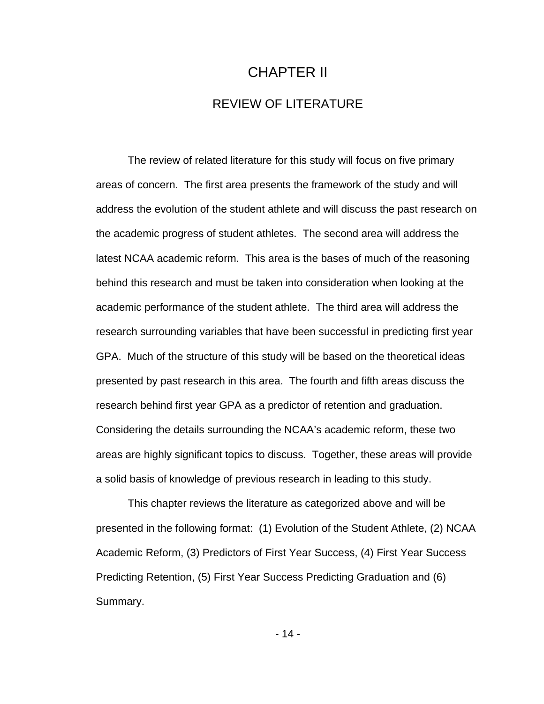# CHAPTER II REVIEW OF LITERATURE

 The review of related literature for this study will focus on five primary areas of concern. The first area presents the framework of the study and will address the evolution of the student athlete and will discuss the past research on the academic progress of student athletes. The second area will address the latest NCAA academic reform. This area is the bases of much of the reasoning behind this research and must be taken into consideration when looking at the academic performance of the student athlete. The third area will address the research surrounding variables that have been successful in predicting first year GPA. Much of the structure of this study will be based on the theoretical ideas presented by past research in this area. The fourth and fifth areas discuss the research behind first year GPA as a predictor of retention and graduation. Considering the details surrounding the NCAA's academic reform, these two areas are highly significant topics to discuss. Together, these areas will provide a solid basis of knowledge of previous research in leading to this study.

This chapter reviews the literature as categorized above and will be presented in the following format: (1) Evolution of the Student Athlete, (2) NCAA Academic Reform, (3) Predictors of First Year Success, (4) First Year Success Predicting Retention, (5) First Year Success Predicting Graduation and (6) Summary.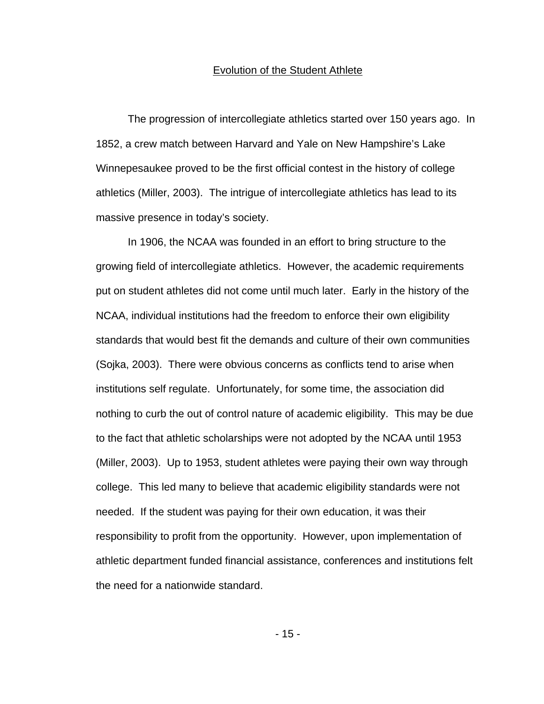#### Evolution of the Student Athlete

 The progression of intercollegiate athletics started over 150 years ago. In 1852, a crew match between Harvard and Yale on New Hampshire's Lake Winnepesaukee proved to be the first official contest in the history of college athletics (Miller, 2003). The intrigue of intercollegiate athletics has lead to its massive presence in today's society.

In 1906, the NCAA was founded in an effort to bring structure to the growing field of intercollegiate athletics. However, the academic requirements put on student athletes did not come until much later. Early in the history of the NCAA, individual institutions had the freedom to enforce their own eligibility standards that would best fit the demands and culture of their own communities (Sojka, 2003). There were obvious concerns as conflicts tend to arise when institutions self regulate. Unfortunately, for some time, the association did nothing to curb the out of control nature of academic eligibility. This may be due to the fact that athletic scholarships were not adopted by the NCAA until 1953 (Miller, 2003). Up to 1953, student athletes were paying their own way through college. This led many to believe that academic eligibility standards were not needed. If the student was paying for their own education, it was their responsibility to profit from the opportunity. However, upon implementation of athletic department funded financial assistance, conferences and institutions felt the need for a nationwide standard.

- 15 -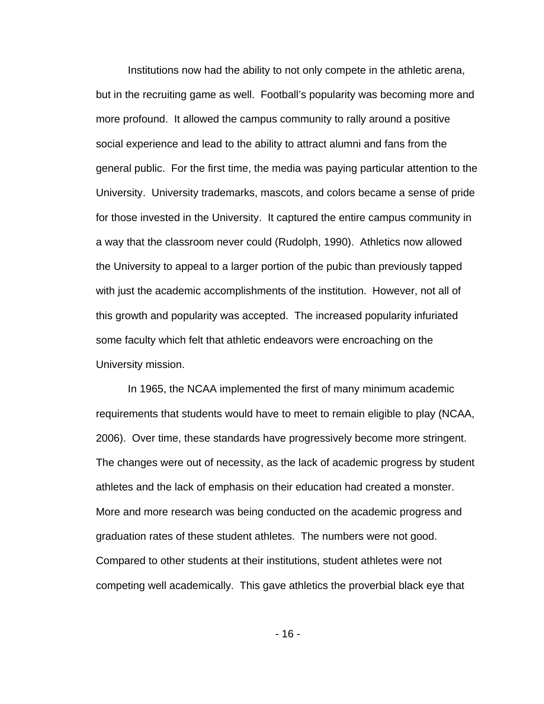Institutions now had the ability to not only compete in the athletic arena, but in the recruiting game as well. Football's popularity was becoming more and more profound. It allowed the campus community to rally around a positive social experience and lead to the ability to attract alumni and fans from the general public. For the first time, the media was paying particular attention to the University. University trademarks, mascots, and colors became a sense of pride for those invested in the University. It captured the entire campus community in a way that the classroom never could (Rudolph, 1990). Athletics now allowed the University to appeal to a larger portion of the pubic than previously tapped with just the academic accomplishments of the institution. However, not all of this growth and popularity was accepted. The increased popularity infuriated some faculty which felt that athletic endeavors were encroaching on the University mission.

In 1965, the NCAA implemented the first of many minimum academic requirements that students would have to meet to remain eligible to play (NCAA, 2006). Over time, these standards have progressively become more stringent. The changes were out of necessity, as the lack of academic progress by student athletes and the lack of emphasis on their education had created a monster. More and more research was being conducted on the academic progress and graduation rates of these student athletes. The numbers were not good. Compared to other students at their institutions, student athletes were not competing well academically. This gave athletics the proverbial black eye that

- 16 -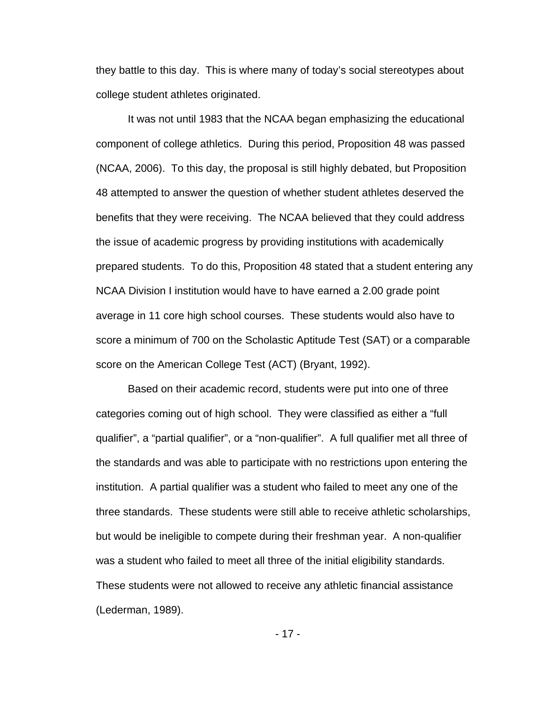they battle to this day. This is where many of today's social stereotypes about college student athletes originated.

It was not until 1983 that the NCAA began emphasizing the educational component of college athletics. During this period, Proposition 48 was passed (NCAA, 2006). To this day, the proposal is still highly debated, but Proposition 48 attempted to answer the question of whether student athletes deserved the benefits that they were receiving. The NCAA believed that they could address the issue of academic progress by providing institutions with academically prepared students. To do this, Proposition 48 stated that a student entering any NCAA Division I institution would have to have earned a 2.00 grade point average in 11 core high school courses. These students would also have to score a minimum of 700 on the Scholastic Aptitude Test (SAT) or a comparable score on the American College Test (ACT) (Bryant, 1992).

Based on their academic record, students were put into one of three categories coming out of high school. They were classified as either a "full qualifier", a "partial qualifier", or a "non-qualifier". A full qualifier met all three of the standards and was able to participate with no restrictions upon entering the institution. A partial qualifier was a student who failed to meet any one of the three standards. These students were still able to receive athletic scholarships, but would be ineligible to compete during their freshman year. A non-qualifier was a student who failed to meet all three of the initial eligibility standards. These students were not allowed to receive any athletic financial assistance (Lederman, 1989).

- 17 -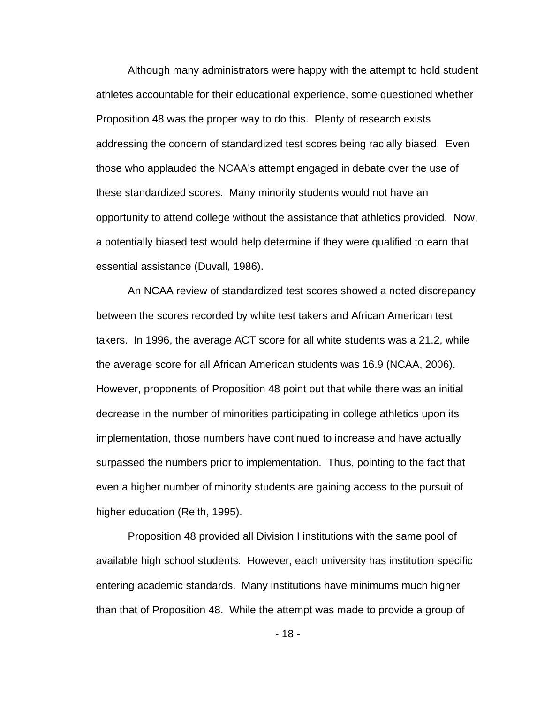Although many administrators were happy with the attempt to hold student athletes accountable for their educational experience, some questioned whether Proposition 48 was the proper way to do this. Plenty of research exists addressing the concern of standardized test scores being racially biased. Even those who applauded the NCAA's attempt engaged in debate over the use of these standardized scores. Many minority students would not have an opportunity to attend college without the assistance that athletics provided. Now, a potentially biased test would help determine if they were qualified to earn that essential assistance (Duvall, 1986).

An NCAA review of standardized test scores showed a noted discrepancy between the scores recorded by white test takers and African American test takers. In 1996, the average ACT score for all white students was a 21.2, while the average score for all African American students was 16.9 (NCAA, 2006). However, proponents of Proposition 48 point out that while there was an initial decrease in the number of minorities participating in college athletics upon its implementation, those numbers have continued to increase and have actually surpassed the numbers prior to implementation. Thus, pointing to the fact that even a higher number of minority students are gaining access to the pursuit of higher education (Reith, 1995).

Proposition 48 provided all Division I institutions with the same pool of available high school students. However, each university has institution specific entering academic standards. Many institutions have minimums much higher than that of Proposition 48. While the attempt was made to provide a group of

- 18 -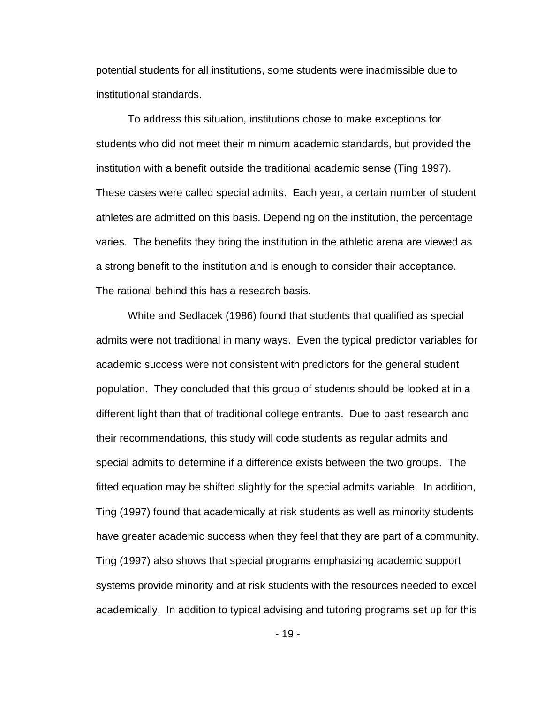potential students for all institutions, some students were inadmissible due to institutional standards.

To address this situation, institutions chose to make exceptions for students who did not meet their minimum academic standards, but provided the institution with a benefit outside the traditional academic sense (Ting 1997). These cases were called special admits. Each year, a certain number of student athletes are admitted on this basis. Depending on the institution, the percentage varies. The benefits they bring the institution in the athletic arena are viewed as a strong benefit to the institution and is enough to consider their acceptance. The rational behind this has a research basis.

White and Sedlacek (1986) found that students that qualified as special admits were not traditional in many ways. Even the typical predictor variables for academic success were not consistent with predictors for the general student population. They concluded that this group of students should be looked at in a different light than that of traditional college entrants. Due to past research and their recommendations, this study will code students as regular admits and special admits to determine if a difference exists between the two groups. The fitted equation may be shifted slightly for the special admits variable. In addition, Ting (1997) found that academically at risk students as well as minority students have greater academic success when they feel that they are part of a community. Ting (1997) also shows that special programs emphasizing academic support systems provide minority and at risk students with the resources needed to excel academically. In addition to typical advising and tutoring programs set up for this

- 19 -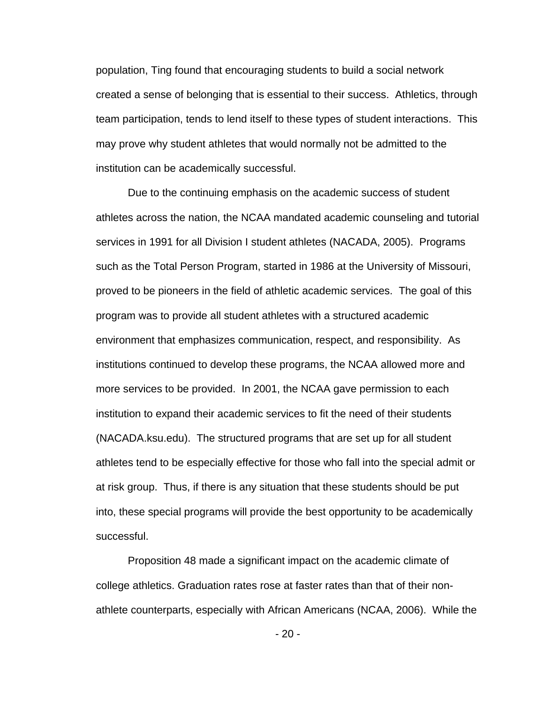population, Ting found that encouraging students to build a social network created a sense of belonging that is essential to their success. Athletics, through team participation, tends to lend itself to these types of student interactions. This may prove why student athletes that would normally not be admitted to the institution can be academically successful.

Due to the continuing emphasis on the academic success of student athletes across the nation, the NCAA mandated academic counseling and tutorial services in 1991 for all Division I student athletes (NACADA, 2005). Programs such as the Total Person Program, started in 1986 at the University of Missouri, proved to be pioneers in the field of athletic academic services. The goal of this program was to provide all student athletes with a structured academic environment that emphasizes communication, respect, and responsibility. As institutions continued to develop these programs, the NCAA allowed more and more services to be provided. In 2001, the NCAA gave permission to each institution to expand their academic services to fit the need of their students (NACADA.ksu.edu). The structured programs that are set up for all student athletes tend to be especially effective for those who fall into the special admit or at risk group. Thus, if there is any situation that these students should be put into, these special programs will provide the best opportunity to be academically successful.

Proposition 48 made a significant impact on the academic climate of college athletics. Graduation rates rose at faster rates than that of their nonathlete counterparts, especially with African Americans (NCAA, 2006). While the

 $-20-$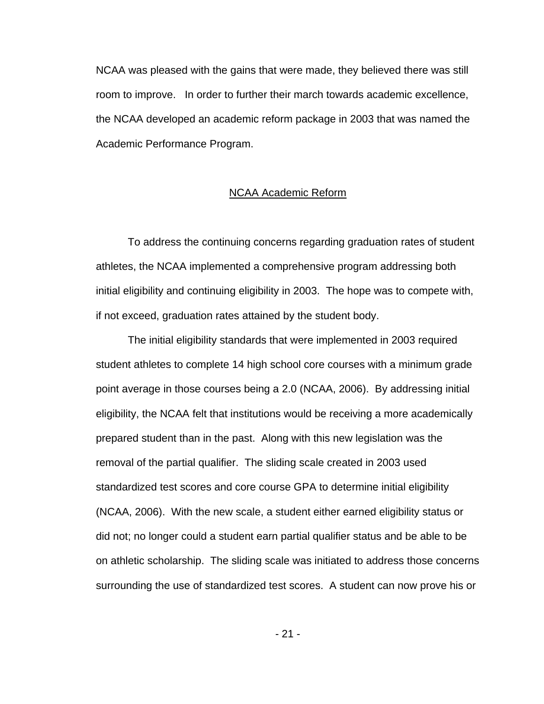NCAA was pleased with the gains that were made, they believed there was still room to improve. In order to further their march towards academic excellence, the NCAA developed an academic reform package in 2003 that was named the Academic Performance Program.

#### NCAA Academic Reform

 To address the continuing concerns regarding graduation rates of student athletes, the NCAA implemented a comprehensive program addressing both initial eligibility and continuing eligibility in 2003. The hope was to compete with, if not exceed, graduation rates attained by the student body.

 The initial eligibility standards that were implemented in 2003 required student athletes to complete 14 high school core courses with a minimum grade point average in those courses being a 2.0 (NCAA, 2006). By addressing initial eligibility, the NCAA felt that institutions would be receiving a more academically prepared student than in the past. Along with this new legislation was the removal of the partial qualifier. The sliding scale created in 2003 used standardized test scores and core course GPA to determine initial eligibility (NCAA, 2006). With the new scale, a student either earned eligibility status or did not; no longer could a student earn partial qualifier status and be able to be on athletic scholarship. The sliding scale was initiated to address those concerns surrounding the use of standardized test scores. A student can now prove his or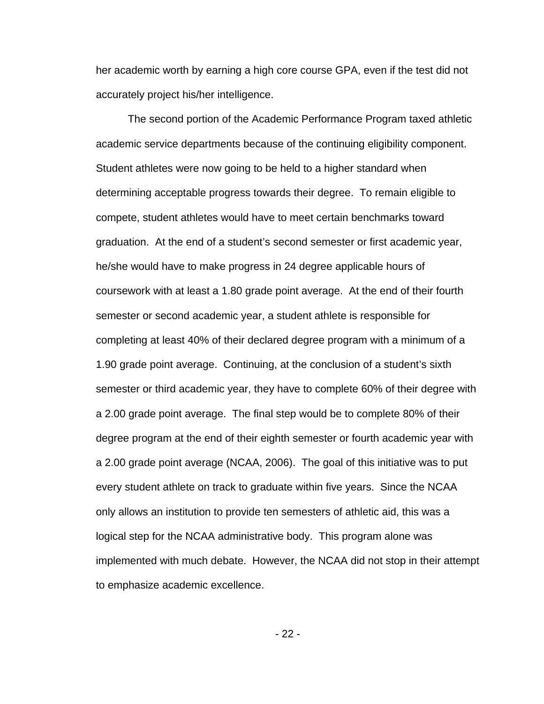her academic worth by earning a high core course GPA, even if the test did not accurately project his/her intelligence.

 The second portion of the Academic Performance Program taxed athletic academic service departments because of the continuing eligibility component. Student athletes were now going to be held to a higher standard when determining acceptable progress towards their degree. To remain eligible to compete, student athletes would have to meet certain benchmarks toward graduation. At the end of a student's second semester or first academic year, he/she would have to make progress in 24 degree applicable hours of coursework with at least a 1.80 grade point average. At the end of their fourth semester or second academic year, a student athlete is responsible for completing at least 40% of their declared degree program with a minimum of a 1.90 grade point average. Continuing, at the conclusion of a student's sixth semester or third academic year, they have to complete 60% of their degree with a 2.00 grade point average. The final step would be to complete 80% of their degree program at the end of their eighth semester or fourth academic year with a 2.00 grade point average (NCAA, 2006). The goal of this initiative was to put every student athlete on track to graduate within five years. Since the NCAA only allows an institution to provide ten semesters of athletic aid, this was a logical step for the NCAA administrative body. This program alone was implemented with much debate. However, the NCAA did not stop in their attempt to emphasize academic excellence.

- 22 -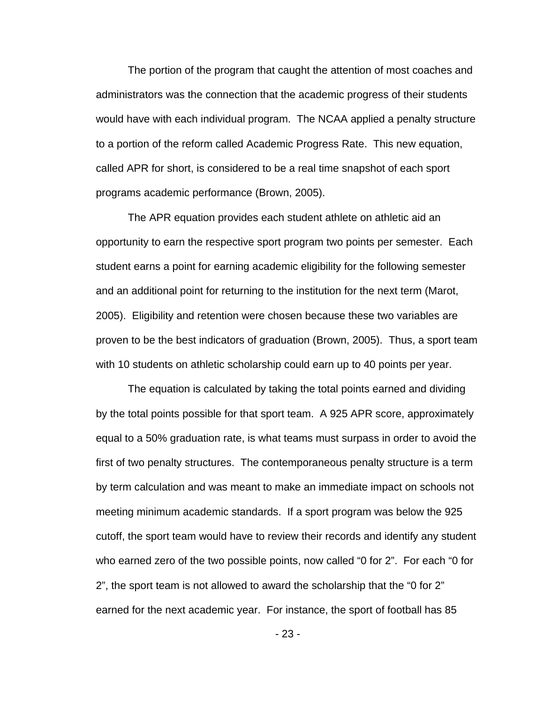The portion of the program that caught the attention of most coaches and administrators was the connection that the academic progress of their students would have with each individual program. The NCAA applied a penalty structure to a portion of the reform called Academic Progress Rate. This new equation, called APR for short, is considered to be a real time snapshot of each sport programs academic performance (Brown, 2005).

The APR equation provides each student athlete on athletic aid an opportunity to earn the respective sport program two points per semester. Each student earns a point for earning academic eligibility for the following semester and an additional point for returning to the institution for the next term (Marot, 2005). Eligibility and retention were chosen because these two variables are proven to be the best indicators of graduation (Brown, 2005). Thus, a sport team with 10 students on athletic scholarship could earn up to 40 points per year.

The equation is calculated by taking the total points earned and dividing by the total points possible for that sport team. A 925 APR score, approximately equal to a 50% graduation rate, is what teams must surpass in order to avoid the first of two penalty structures. The contemporaneous penalty structure is a term by term calculation and was meant to make an immediate impact on schools not meeting minimum academic standards. If a sport program was below the 925 cutoff, the sport team would have to review their records and identify any student who earned zero of the two possible points, now called "0 for 2". For each "0 for 2", the sport team is not allowed to award the scholarship that the "0 for 2" earned for the next academic year. For instance, the sport of football has 85

- 23 -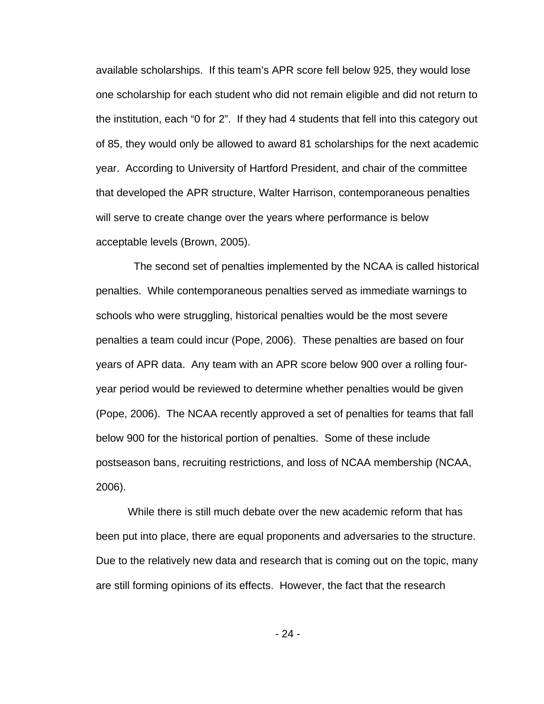available scholarships. If this team's APR score fell below 925, they would lose one scholarship for each student who did not remain eligible and did not return to the institution, each "0 for 2". If they had 4 students that fell into this category out of 85, they would only be allowed to award 81 scholarships for the next academic year. According to University of Hartford President, and chair of the committee that developed the APR structure, Walter Harrison, contemporaneous penalties will serve to create change over the years where performance is below acceptable levels (Brown, 2005).

 The second set of penalties implemented by the NCAA is called historical penalties. While contemporaneous penalties served as immediate warnings to schools who were struggling, historical penalties would be the most severe penalties a team could incur (Pope, 2006). These penalties are based on four years of APR data. Any team with an APR score below 900 over a rolling fouryear period would be reviewed to determine whether penalties would be given (Pope, 2006). The NCAA recently approved a set of penalties for teams that fall below 900 for the historical portion of penalties. Some of these include postseason bans, recruiting restrictions, and loss of NCAA membership (NCAA, 2006).

 While there is still much debate over the new academic reform that has been put into place, there are equal proponents and adversaries to the structure. Due to the relatively new data and research that is coming out on the topic, many are still forming opinions of its effects. However, the fact that the research

- 24 -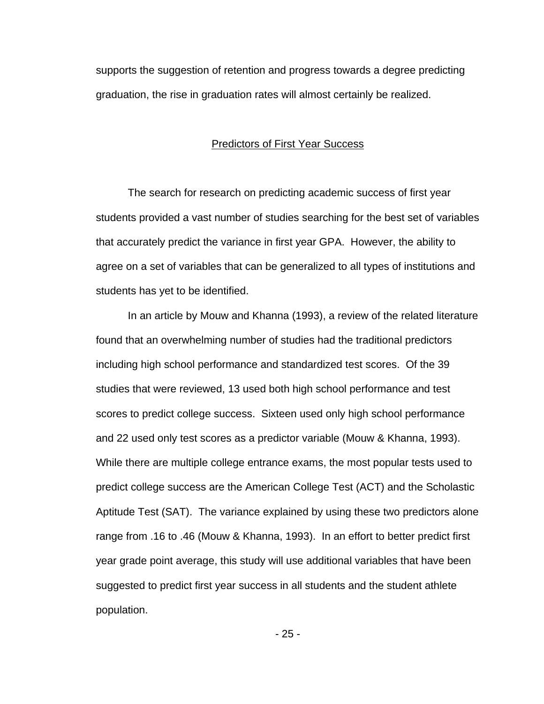supports the suggestion of retention and progress towards a degree predicting graduation, the rise in graduation rates will almost certainly be realized.

#### Predictors of First Year Success

 The search for research on predicting academic success of first year students provided a vast number of studies searching for the best set of variables that accurately predict the variance in first year GPA. However, the ability to agree on a set of variables that can be generalized to all types of institutions and students has yet to be identified.

 In an article by Mouw and Khanna (1993), a review of the related literature found that an overwhelming number of studies had the traditional predictors including high school performance and standardized test scores. Of the 39 studies that were reviewed, 13 used both high school performance and test scores to predict college success. Sixteen used only high school performance and 22 used only test scores as a predictor variable (Mouw & Khanna, 1993). While there are multiple college entrance exams, the most popular tests used to predict college success are the American College Test (ACT) and the Scholastic Aptitude Test (SAT). The variance explained by using these two predictors alone range from .16 to .46 (Mouw & Khanna, 1993). In an effort to better predict first year grade point average, this study will use additional variables that have been suggested to predict first year success in all students and the student athlete population.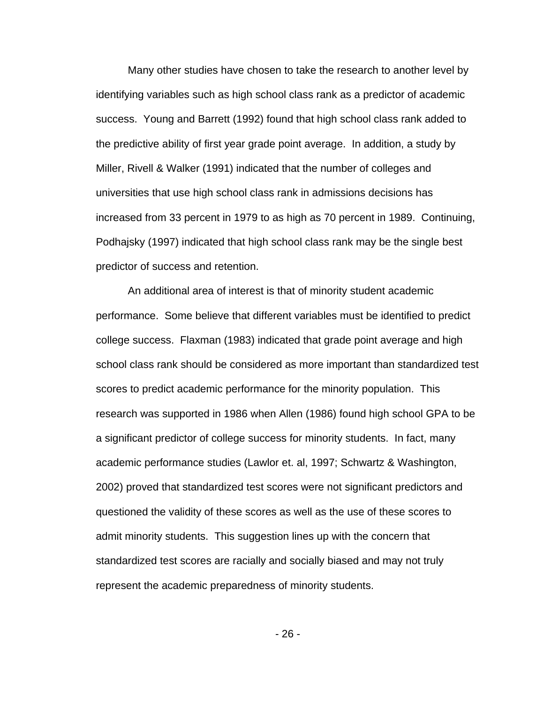Many other studies have chosen to take the research to another level by identifying variables such as high school class rank as a predictor of academic success. Young and Barrett (1992) found that high school class rank added to the predictive ability of first year grade point average. In addition, a study by Miller, Rivell & Walker (1991) indicated that the number of colleges and universities that use high school class rank in admissions decisions has increased from 33 percent in 1979 to as high as 70 percent in 1989. Continuing, Podhajsky (1997) indicated that high school class rank may be the single best predictor of success and retention.

 An additional area of interest is that of minority student academic performance. Some believe that different variables must be identified to predict college success. Flaxman (1983) indicated that grade point average and high school class rank should be considered as more important than standardized test scores to predict academic performance for the minority population. This research was supported in 1986 when Allen (1986) found high school GPA to be a significant predictor of college success for minority students. In fact, many academic performance studies (Lawlor et. al, 1997; Schwartz & Washington, 2002) proved that standardized test scores were not significant predictors and questioned the validity of these scores as well as the use of these scores to admit minority students. This suggestion lines up with the concern that standardized test scores are racially and socially biased and may not truly represent the academic preparedness of minority students.

- 26 -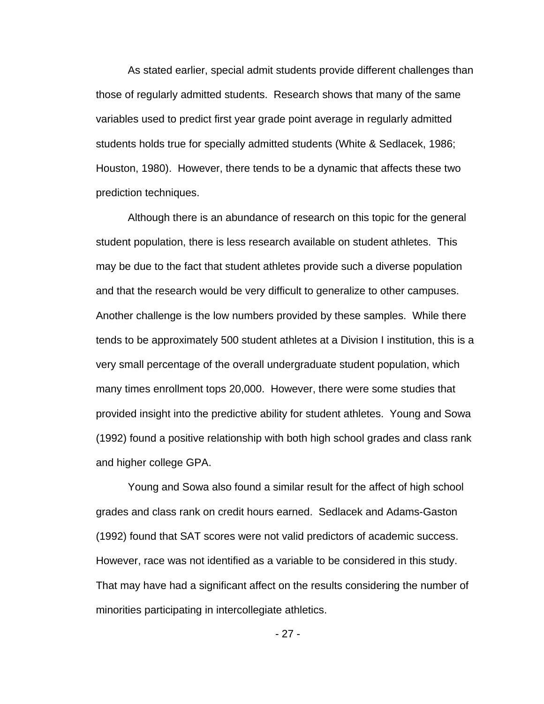As stated earlier, special admit students provide different challenges than those of regularly admitted students. Research shows that many of the same variables used to predict first year grade point average in regularly admitted students holds true for specially admitted students (White & Sedlacek, 1986; Houston, 1980). However, there tends to be a dynamic that affects these two prediction techniques.

Although there is an abundance of research on this topic for the general student population, there is less research available on student athletes. This may be due to the fact that student athletes provide such a diverse population and that the research would be very difficult to generalize to other campuses. Another challenge is the low numbers provided by these samples. While there tends to be approximately 500 student athletes at a Division I institution, this is a very small percentage of the overall undergraduate student population, which many times enrollment tops 20,000. However, there were some studies that provided insight into the predictive ability for student athletes. Young and Sowa (1992) found a positive relationship with both high school grades and class rank and higher college GPA.

Young and Sowa also found a similar result for the affect of high school grades and class rank on credit hours earned. Sedlacek and Adams-Gaston (1992) found that SAT scores were not valid predictors of academic success. However, race was not identified as a variable to be considered in this study. That may have had a significant affect on the results considering the number of minorities participating in intercollegiate athletics.

- 27 -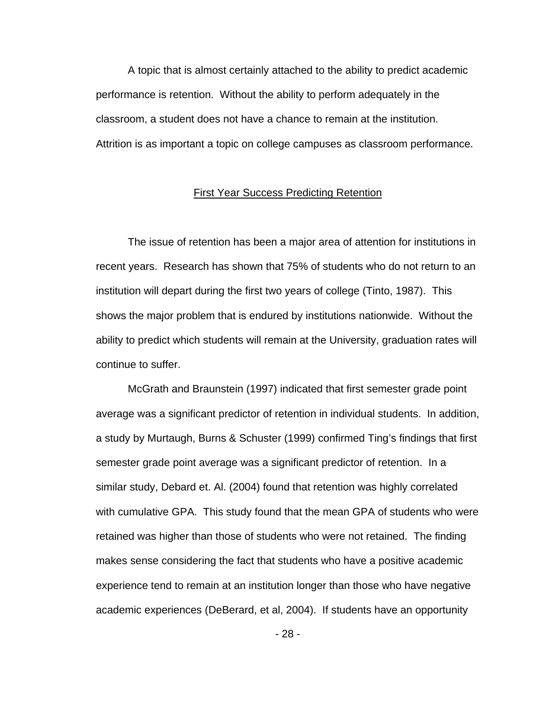A topic that is almost certainly attached to the ability to predict academic performance is retention. Without the ability to perform adequately in the classroom, a student does not have a chance to remain at the institution. Attrition is as important a topic on college campuses as classroom performance.

#### First Year Success Predicting Retention

 The issue of retention has been a major area of attention for institutions in recent years. Research has shown that 75% of students who do not return to an institution will depart during the first two years of college (Tinto, 1987). This shows the major problem that is endured by institutions nationwide. Without the ability to predict which students will remain at the University, graduation rates will continue to suffer.

 McGrath and Braunstein (1997) indicated that first semester grade point average was a significant predictor of retention in individual students. In addition, a study by Murtaugh, Burns & Schuster (1999) confirmed Ting's findings that first semester grade point average was a significant predictor of retention. In a similar study, Debard et. Al. (2004) found that retention was highly correlated with cumulative GPA. This study found that the mean GPA of students who were retained was higher than those of students who were not retained. The finding makes sense considering the fact that students who have a positive academic experience tend to remain at an institution longer than those who have negative academic experiences (DeBerard, et al, 2004). If students have an opportunity

- 28 -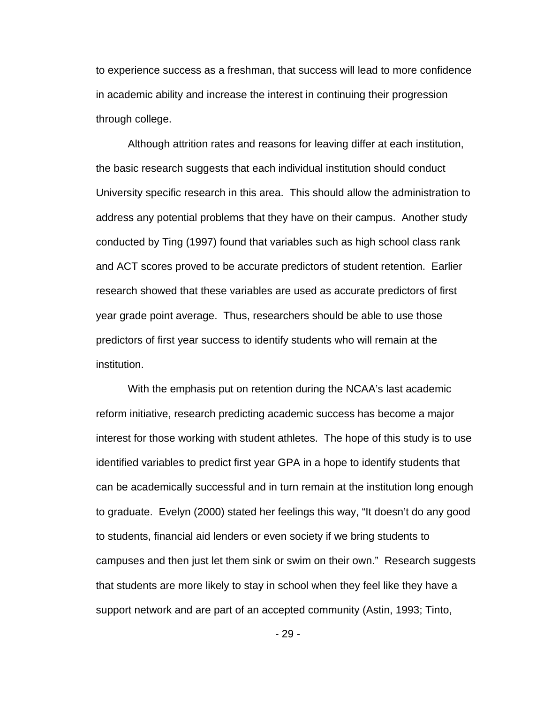to experience success as a freshman, that success will lead to more confidence in academic ability and increase the interest in continuing their progression through college.

Although attrition rates and reasons for leaving differ at each institution, the basic research suggests that each individual institution should conduct University specific research in this area. This should allow the administration to address any potential problems that they have on their campus. Another study conducted by Ting (1997) found that variables such as high school class rank and ACT scores proved to be accurate predictors of student retention. Earlier research showed that these variables are used as accurate predictors of first year grade point average. Thus, researchers should be able to use those predictors of first year success to identify students who will remain at the institution.

With the emphasis put on retention during the NCAA's last academic reform initiative, research predicting academic success has become a major interest for those working with student athletes. The hope of this study is to use identified variables to predict first year GPA in a hope to identify students that can be academically successful and in turn remain at the institution long enough to graduate. Evelyn (2000) stated her feelings this way, "It doesn't do any good to students, financial aid lenders or even society if we bring students to campuses and then just let them sink or swim on their own." Research suggests that students are more likely to stay in school when they feel like they have a support network and are part of an accepted community (Astin, 1993; Tinto,

- 29 -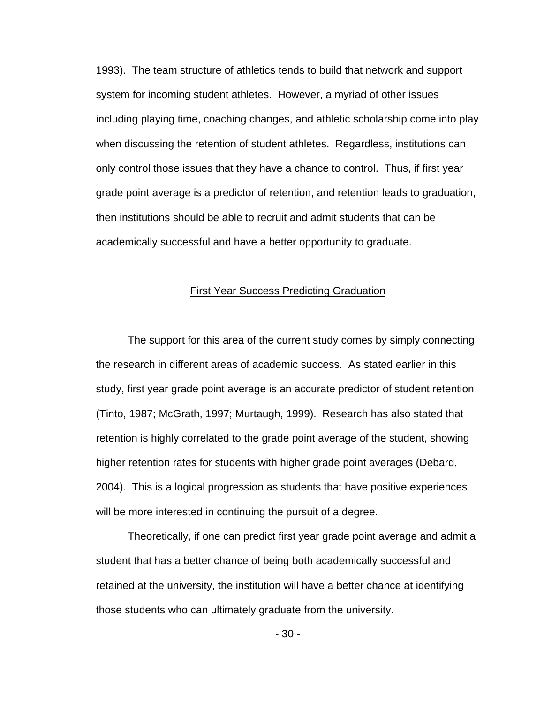1993). The team structure of athletics tends to build that network and support system for incoming student athletes. However, a myriad of other issues including playing time, coaching changes, and athletic scholarship come into play when discussing the retention of student athletes. Regardless, institutions can only control those issues that they have a chance to control. Thus, if first year grade point average is a predictor of retention, and retention leads to graduation, then institutions should be able to recruit and admit students that can be academically successful and have a better opportunity to graduate.

#### First Year Success Predicting Graduation

 The support for this area of the current study comes by simply connecting the research in different areas of academic success. As stated earlier in this study, first year grade point average is an accurate predictor of student retention (Tinto, 1987; McGrath, 1997; Murtaugh, 1999). Research has also stated that retention is highly correlated to the grade point average of the student, showing higher retention rates for students with higher grade point averages (Debard, 2004). This is a logical progression as students that have positive experiences will be more interested in continuing the pursuit of a degree.

 Theoretically, if one can predict first year grade point average and admit a student that has a better chance of being both academically successful and retained at the university, the institution will have a better chance at identifying those students who can ultimately graduate from the university.

- 30 -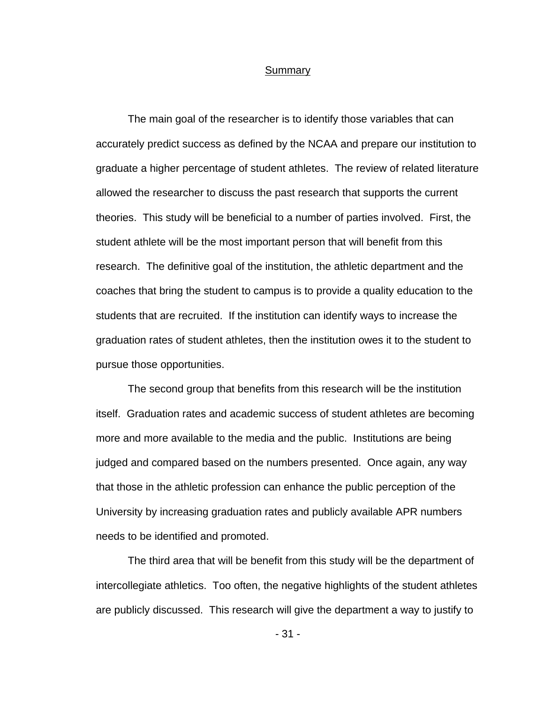#### Summary

 The main goal of the researcher is to identify those variables that can accurately predict success as defined by the NCAA and prepare our institution to graduate a higher percentage of student athletes. The review of related literature allowed the researcher to discuss the past research that supports the current theories. This study will be beneficial to a number of parties involved. First, the student athlete will be the most important person that will benefit from this research. The definitive goal of the institution, the athletic department and the coaches that bring the student to campus is to provide a quality education to the students that are recruited. If the institution can identify ways to increase the graduation rates of student athletes, then the institution owes it to the student to pursue those opportunities.

 The second group that benefits from this research will be the institution itself. Graduation rates and academic success of student athletes are becoming more and more available to the media and the public. Institutions are being judged and compared based on the numbers presented. Once again, any way that those in the athletic profession can enhance the public perception of the University by increasing graduation rates and publicly available APR numbers needs to be identified and promoted.

 The third area that will be benefit from this study will be the department of intercollegiate athletics. Too often, the negative highlights of the student athletes are publicly discussed. This research will give the department a way to justify to

- 31 -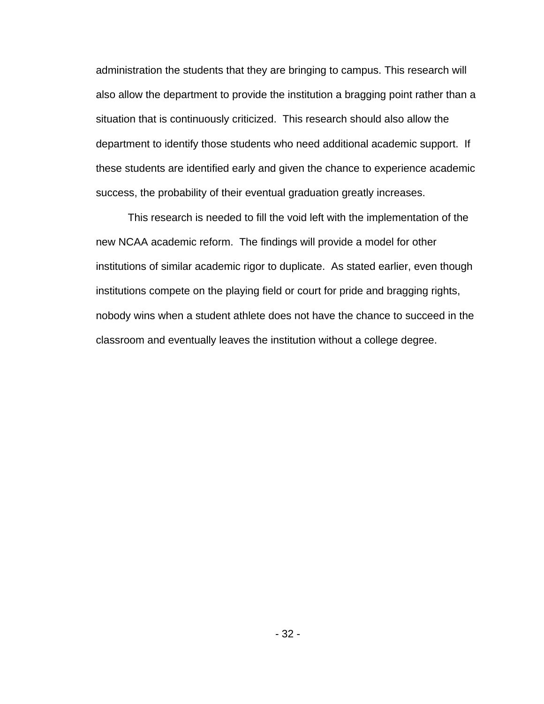administration the students that they are bringing to campus. This research will also allow the department to provide the institution a bragging point rather than a situation that is continuously criticized. This research should also allow the department to identify those students who need additional academic support. If these students are identified early and given the chance to experience academic success, the probability of their eventual graduation greatly increases.

 This research is needed to fill the void left with the implementation of the new NCAA academic reform. The findings will provide a model for other institutions of similar academic rigor to duplicate. As stated earlier, even though institutions compete on the playing field or court for pride and bragging rights, nobody wins when a student athlete does not have the chance to succeed in the classroom and eventually leaves the institution without a college degree.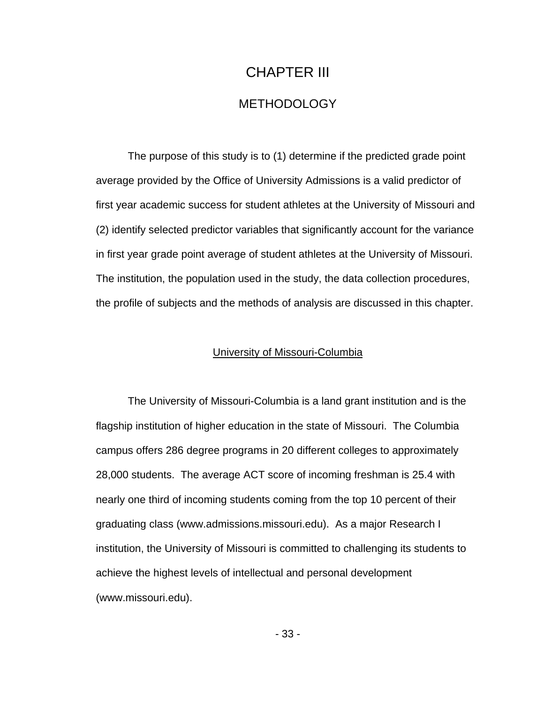# CHAPTER III METHODOLOGY

 The purpose of this study is to (1) determine if the predicted grade point average provided by the Office of University Admissions is a valid predictor of first year academic success for student athletes at the University of Missouri and (2) identify selected predictor variables that significantly account for the variance in first year grade point average of student athletes at the University of Missouri. The institution, the population used in the study, the data collection procedures, the profile of subjects and the methods of analysis are discussed in this chapter.

### University of Missouri-Columbia

 The University of Missouri-Columbia is a land grant institution and is the flagship institution of higher education in the state of Missouri. The Columbia campus offers 286 degree programs in 20 different colleges to approximately 28,000 students. The average ACT score of incoming freshman is 25.4 with nearly one third of incoming students coming from the top 10 percent of their graduating class (www.admissions.missouri.edu). As a major Research I institution, the University of Missouri is committed to challenging its students to achieve the highest levels of intellectual and personal development (www.missouri.edu).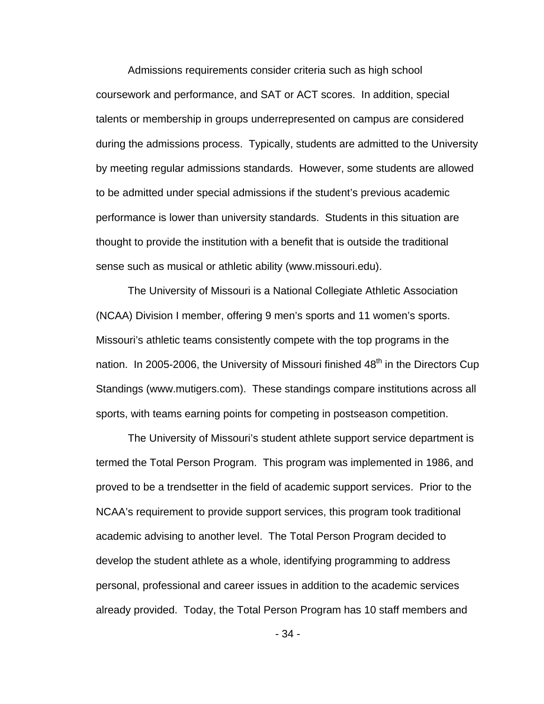Admissions requirements consider criteria such as high school coursework and performance, and SAT or ACT scores. In addition, special talents or membership in groups underrepresented on campus are considered during the admissions process. Typically, students are admitted to the University by meeting regular admissions standards. However, some students are allowed to be admitted under special admissions if the student's previous academic performance is lower than university standards. Students in this situation are thought to provide the institution with a benefit that is outside the traditional sense such as musical or athletic ability (www.missouri.edu).

 The University of Missouri is a National Collegiate Athletic Association (NCAA) Division I member, offering 9 men's sports and 11 women's sports. Missouri's athletic teams consistently compete with the top programs in the nation. In 2005-2006, the University of Missouri finished  $48<sup>th</sup>$  in the Directors Cup Standings (www.mutigers.com). These standings compare institutions across all sports, with teams earning points for competing in postseason competition.

 The University of Missouri's student athlete support service department is termed the Total Person Program. This program was implemented in 1986, and proved to be a trendsetter in the field of academic support services. Prior to the NCAA's requirement to provide support services, this program took traditional academic advising to another level. The Total Person Program decided to develop the student athlete as a whole, identifying programming to address personal, professional and career issues in addition to the academic services already provided. Today, the Total Person Program has 10 staff members and

- 34 -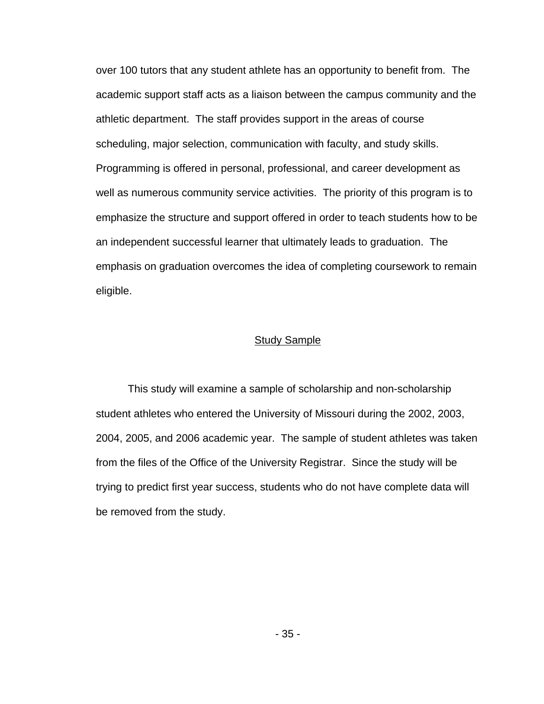over 100 tutors that any student athlete has an opportunity to benefit from. The academic support staff acts as a liaison between the campus community and the athletic department. The staff provides support in the areas of course scheduling, major selection, communication with faculty, and study skills. Programming is offered in personal, professional, and career development as well as numerous community service activities. The priority of this program is to emphasize the structure and support offered in order to teach students how to be an independent successful learner that ultimately leads to graduation. The emphasis on graduation overcomes the idea of completing coursework to remain eligible.

#### **Study Sample**

 This study will examine a sample of scholarship and non-scholarship student athletes who entered the University of Missouri during the 2002, 2003, 2004, 2005, and 2006 academic year. The sample of student athletes was taken from the files of the Office of the University Registrar. Since the study will be trying to predict first year success, students who do not have complete data will be removed from the study.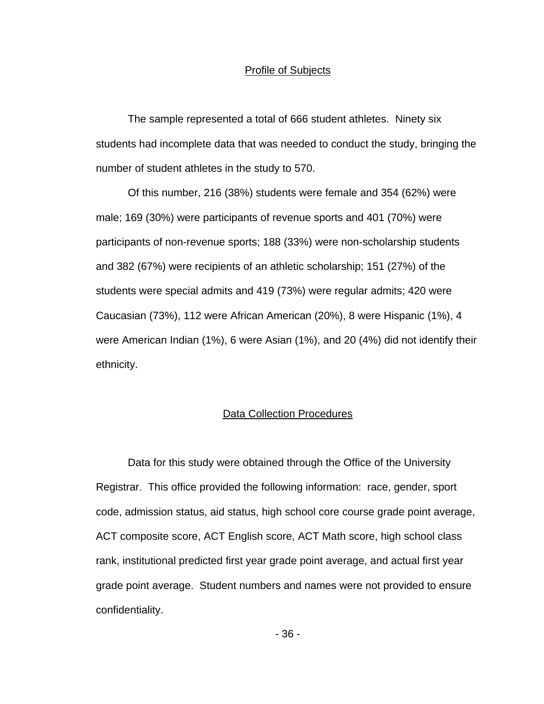#### Profile of Subjects

 The sample represented a total of 666 student athletes. Ninety six students had incomplete data that was needed to conduct the study, bringing the number of student athletes in the study to 570.

 Of this number, 216 (38%) students were female and 354 (62%) were male; 169 (30%) were participants of revenue sports and 401 (70%) were participants of non-revenue sports; 188 (33%) were non-scholarship students and 382 (67%) were recipients of an athletic scholarship; 151 (27%) of the students were special admits and 419 (73%) were regular admits; 420 were Caucasian (73%), 112 were African American (20%), 8 were Hispanic (1%), 4 were American Indian (1%), 6 were Asian (1%), and 20 (4%) did not identify their ethnicity.

#### Data Collection Procedures

 Data for this study were obtained through the Office of the University Registrar. This office provided the following information: race, gender, sport code, admission status, aid status, high school core course grade point average, ACT composite score, ACT English score, ACT Math score, high school class rank, institutional predicted first year grade point average, and actual first year grade point average. Student numbers and names were not provided to ensure confidentiality.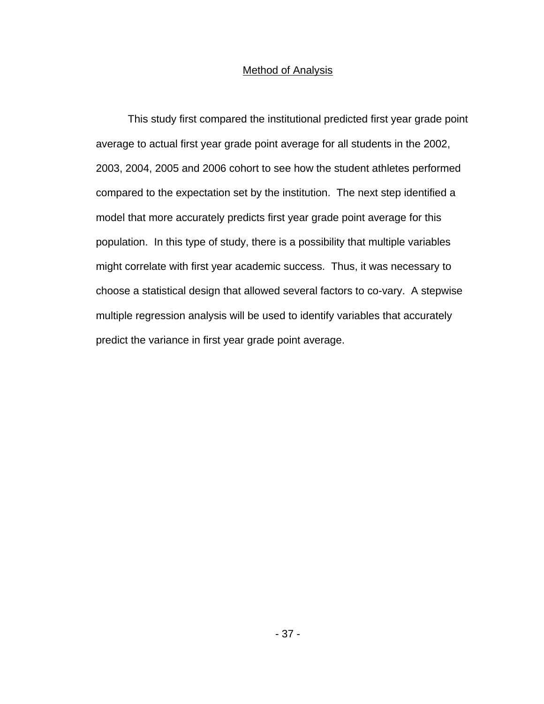## Method of Analysis

 This study first compared the institutional predicted first year grade point average to actual first year grade point average for all students in the 2002, 2003, 2004, 2005 and 2006 cohort to see how the student athletes performed compared to the expectation set by the institution. The next step identified a model that more accurately predicts first year grade point average for this population. In this type of study, there is a possibility that multiple variables might correlate with first year academic success. Thus, it was necessary to choose a statistical design that allowed several factors to co-vary. A stepwise multiple regression analysis will be used to identify variables that accurately predict the variance in first year grade point average.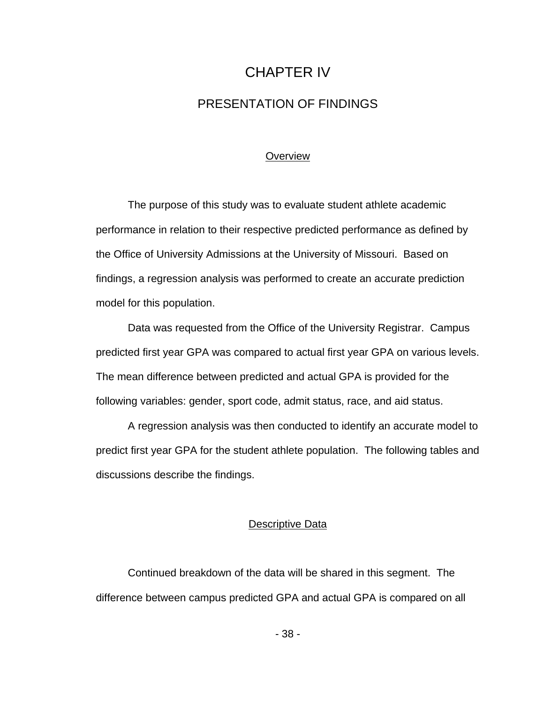# CHAPTER IV PRESENTATION OF FINDINGS

## **Overview**

 The purpose of this study was to evaluate student athlete academic performance in relation to their respective predicted performance as defined by the Office of University Admissions at the University of Missouri. Based on findings, a regression analysis was performed to create an accurate prediction model for this population.

 Data was requested from the Office of the University Registrar. Campus predicted first year GPA was compared to actual first year GPA on various levels. The mean difference between predicted and actual GPA is provided for the following variables: gender, sport code, admit status, race, and aid status.

 A regression analysis was then conducted to identify an accurate model to predict first year GPA for the student athlete population. The following tables and discussions describe the findings.

#### Descriptive Data

 Continued breakdown of the data will be shared in this segment. The difference between campus predicted GPA and actual GPA is compared on all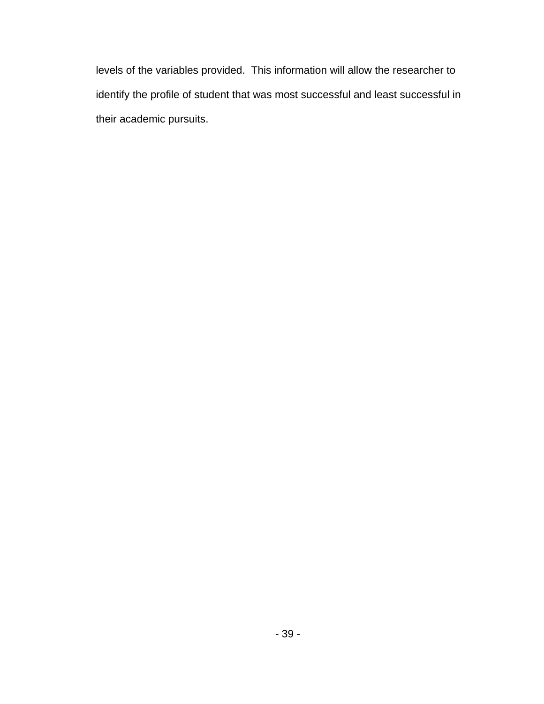levels of the variables provided. This information will allow the researcher to identify the profile of student that was most successful and least successful in their academic pursuits.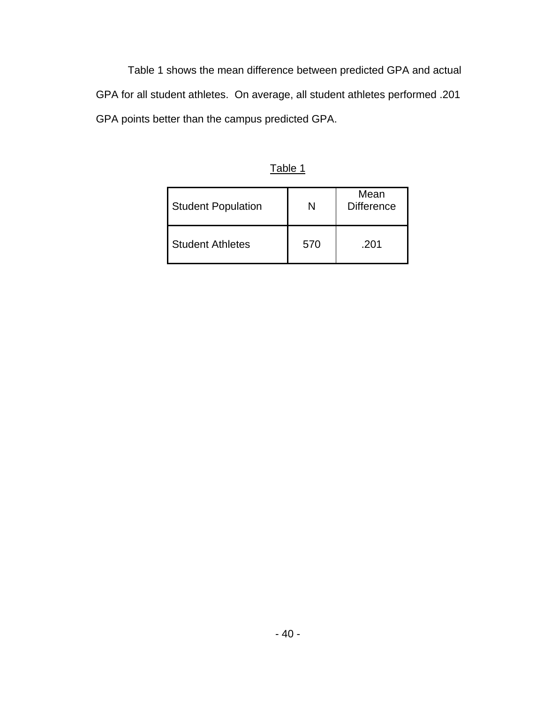Table 1 shows the mean difference between predicted GPA and actual GPA for all student athletes. On average, all student athletes performed .201 GPA points better than the campus predicted GPA.

|--|

| <b>Student Population</b> | N   | Mean<br><b>Difference</b> |
|---------------------------|-----|---------------------------|
| <b>Student Athletes</b>   | 570 | .201                      |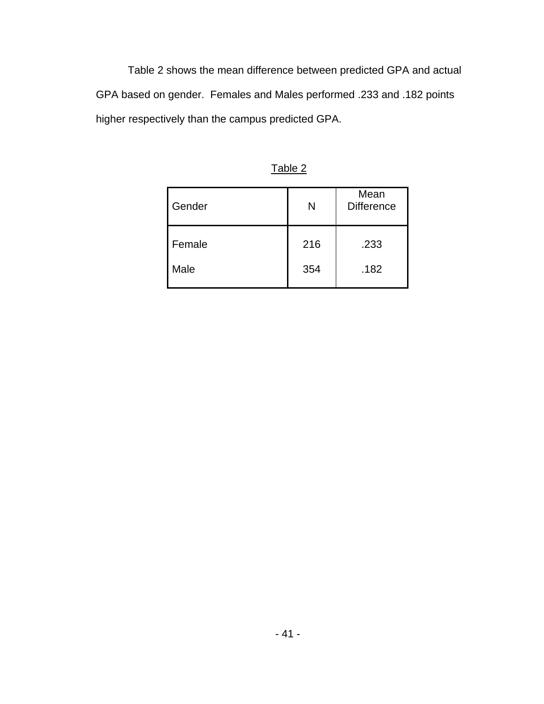Table 2 shows the mean difference between predicted GPA and actual GPA based on gender. Females and Males performed .233 and .182 points higher respectively than the campus predicted GPA.

| Gender | N   | Mean<br><b>Difference</b> |
|--------|-----|---------------------------|
| Female | 216 | .233                      |
| Male   | 354 | .182                      |

Table 2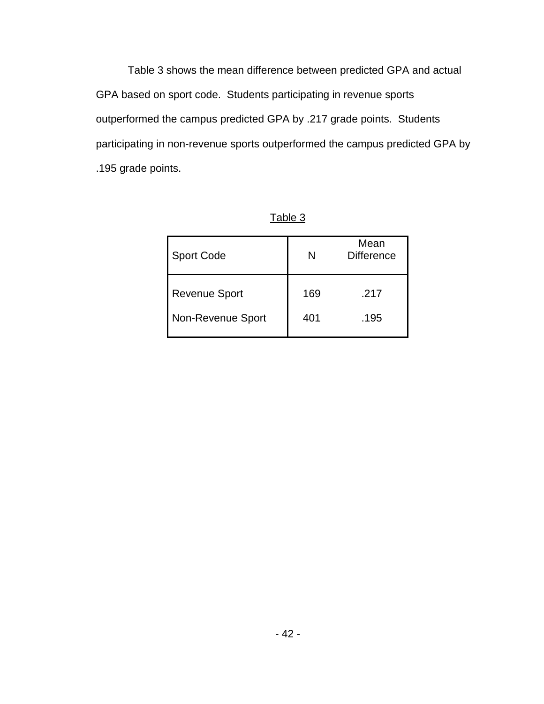Table 3 shows the mean difference between predicted GPA and actual GPA based on sport code. Students participating in revenue sports outperformed the campus predicted GPA by .217 grade points. Students participating in non-revenue sports outperformed the campus predicted GPA by .195 grade points.

| <b>Sport Code</b>    | N   | Mean<br><b>Difference</b> |
|----------------------|-----|---------------------------|
| <b>Revenue Sport</b> | 169 | .217                      |
| Non-Revenue Sport    | 401 | .195                      |

Table 3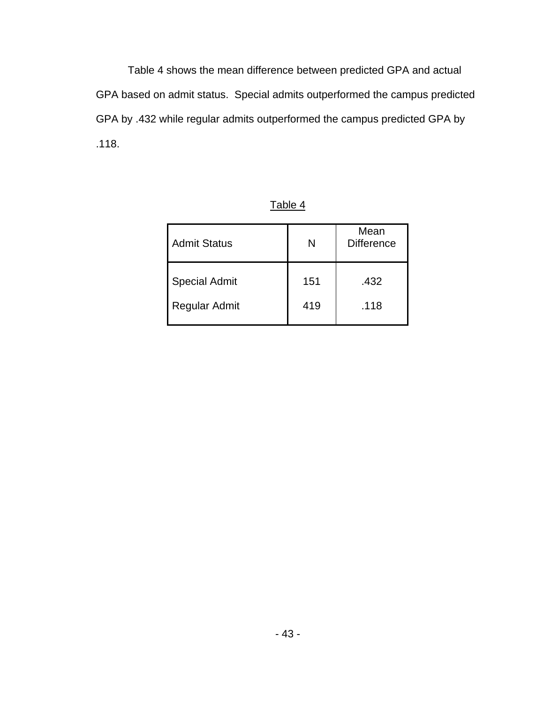Table 4 shows the mean difference between predicted GPA and actual GPA based on admit status. Special admits outperformed the campus predicted GPA by .432 while regular admits outperformed the campus predicted GPA by .118.

| <b>Admit Status</b>  | N   | Mean<br><b>Difference</b> |
|----------------------|-----|---------------------------|
| <b>Special Admit</b> | 151 | .432                      |
| Regular Admit        | 419 | .118                      |

Table 4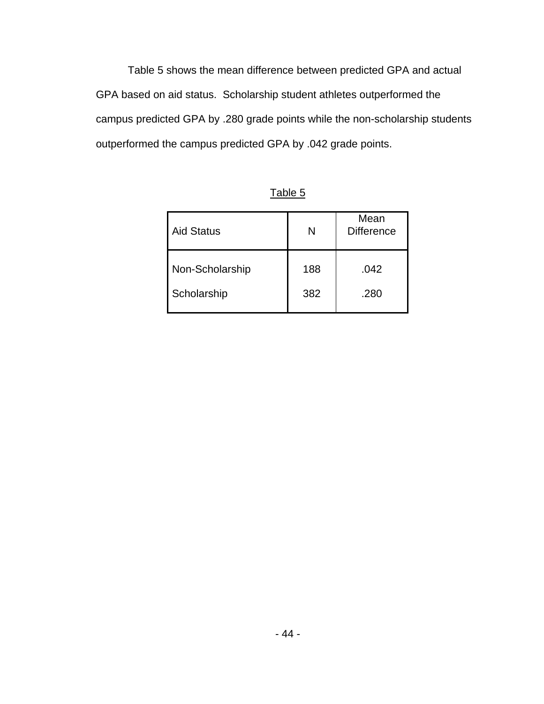Table 5 shows the mean difference between predicted GPA and actual GPA based on aid status. Scholarship student athletes outperformed the campus predicted GPA by .280 grade points while the non-scholarship students outperformed the campus predicted GPA by .042 grade points.

| <b>Aid Status</b> | N   | Mean<br><b>Difference</b> |
|-------------------|-----|---------------------------|
| Non-Scholarship   | 188 | .042                      |
| Scholarship       | 382 | .280                      |

Table 5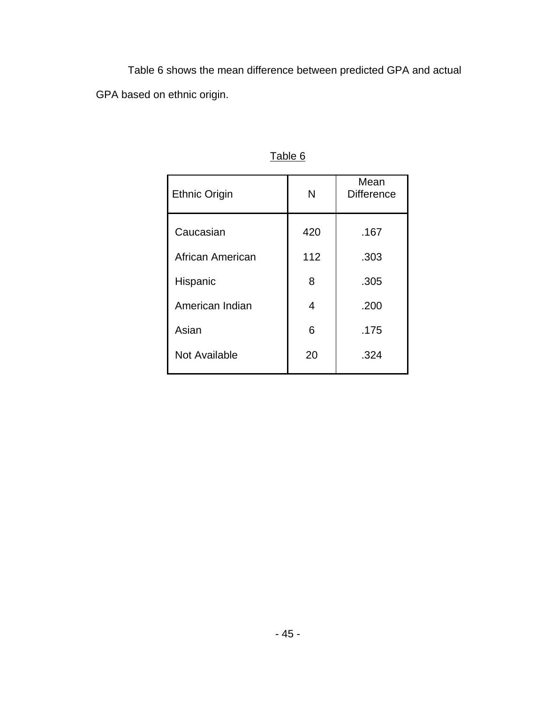Table 6 shows the mean difference between predicted GPA and actual GPA based on ethnic origin.

| <b>Ethnic Origin</b> | N   | Mean<br><b>Difference</b> |
|----------------------|-----|---------------------------|
| Caucasian            | 420 | .167                      |
| African American     | 112 | .303                      |
| Hispanic             | 8   | .305                      |
| American Indian      | 4   | .200                      |
| Asian                | 6   | .175                      |
| <b>Not Available</b> | 20  | .324                      |

Table 6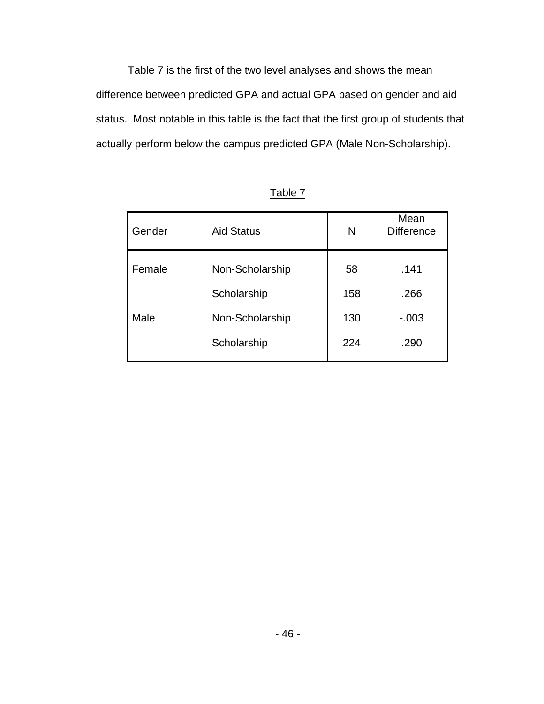Table 7 is the first of the two level analyses and shows the mean difference between predicted GPA and actual GPA based on gender and aid status. Most notable in this table is the fact that the first group of students that actually perform below the campus predicted GPA (Male Non-Scholarship).

| Gender | <b>Aid Status</b> | N   | Mean<br><b>Difference</b> |
|--------|-------------------|-----|---------------------------|
| Female | Non-Scholarship   | 58  | .141                      |
|        | Scholarship       | 158 | .266                      |
| Male   | Non-Scholarship   | 130 | $-0.003$                  |
|        | Scholarship       | 224 | .290                      |

Table 7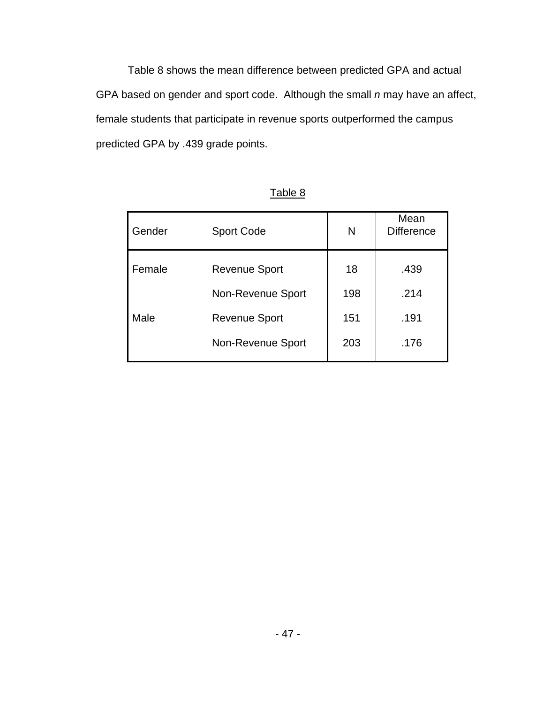Table 8 shows the mean difference between predicted GPA and actual GPA based on gender and sport code. Although the small *n* may have an affect, female students that participate in revenue sports outperformed the campus predicted GPA by .439 grade points.

| Gender | <b>Sport Code</b>    | N   | Mean<br><b>Difference</b> |
|--------|----------------------|-----|---------------------------|
| Female | <b>Revenue Sport</b> | 18  | .439                      |
|        | Non-Revenue Sport    | 198 | .214                      |
| Male   | <b>Revenue Sport</b> | 151 | .191                      |
|        | Non-Revenue Sport    | 203 | .176                      |

## Table 8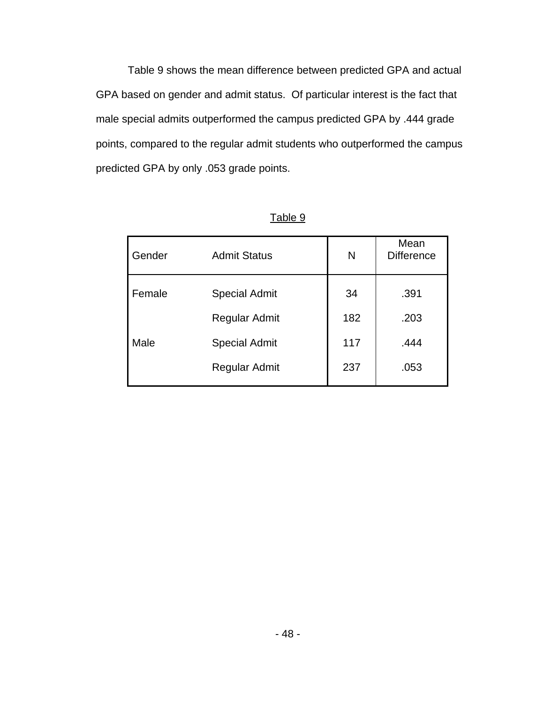Table 9 shows the mean difference between predicted GPA and actual GPA based on gender and admit status. Of particular interest is the fact that male special admits outperformed the campus predicted GPA by .444 grade points, compared to the regular admit students who outperformed the campus predicted GPA by only .053 grade points.

| Gender | <b>Admit Status</b>  | N   | Mean<br><b>Difference</b> |
|--------|----------------------|-----|---------------------------|
| Female | <b>Special Admit</b> | 34  | .391                      |
|        | <b>Regular Admit</b> | 182 | .203                      |
| Male   | <b>Special Admit</b> | 117 | .444                      |
|        | <b>Regular Admit</b> | 237 | .053                      |

| r. |  |
|----|--|
|    |  |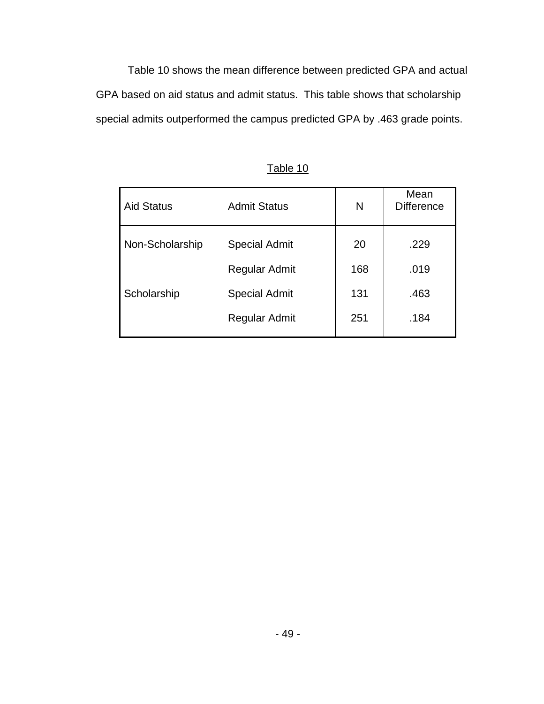Table 10 shows the mean difference between predicted GPA and actual GPA based on aid status and admit status. This table shows that scholarship special admits outperformed the campus predicted GPA by .463 grade points.

| <b>Aid Status</b> | <b>Admit Status</b>  | N   | Mean<br><b>Difference</b> |
|-------------------|----------------------|-----|---------------------------|
| Non-Scholarship   | <b>Special Admit</b> | 20  | .229                      |
|                   | <b>Regular Admit</b> | 168 | .019                      |
| Scholarship       | <b>Special Admit</b> | 131 | .463                      |
|                   | <b>Regular Admit</b> | 251 | .184                      |

Table 10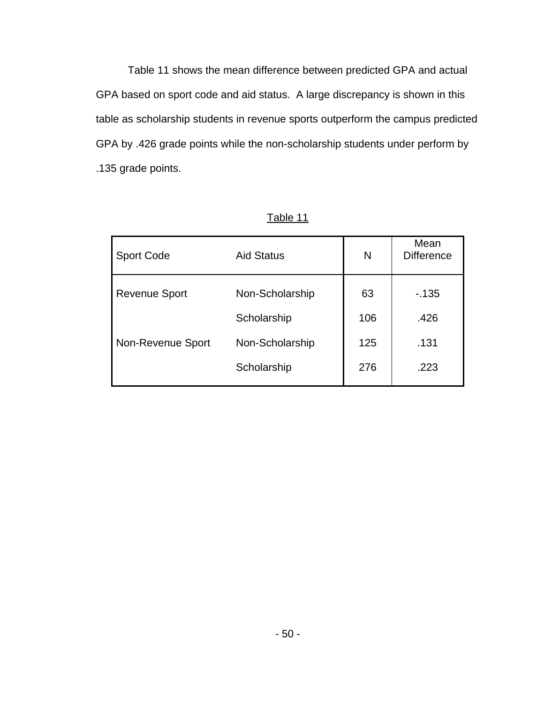Table 11 shows the mean difference between predicted GPA and actual GPA based on sport code and aid status. A large discrepancy is shown in this table as scholarship students in revenue sports outperform the campus predicted GPA by .426 grade points while the non-scholarship students under perform by .135 grade points.

| <b>Sport Code</b>    | <b>Aid Status</b> | N   | Mean<br><b>Difference</b> |
|----------------------|-------------------|-----|---------------------------|
| <b>Revenue Sport</b> | Non-Scholarship   | 63  | $-135$                    |
|                      | Scholarship       | 106 | .426                      |
| Non-Revenue Sport    | Non-Scholarship   | 125 | .131                      |
|                      | Scholarship       | 276 | .223                      |

Table 11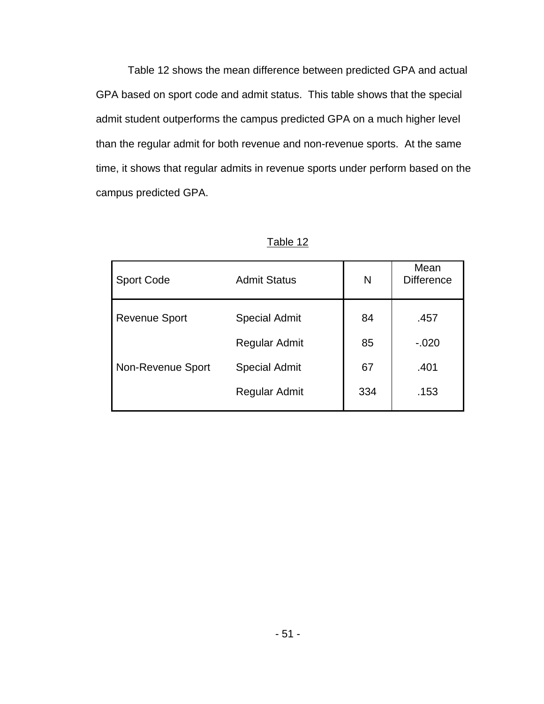Table 12 shows the mean difference between predicted GPA and actual GPA based on sport code and admit status. This table shows that the special admit student outperforms the campus predicted GPA on a much higher level than the regular admit for both revenue and non-revenue sports. At the same time, it shows that regular admits in revenue sports under perform based on the campus predicted GPA.

| <b>Sport Code</b>    | <b>Admit Status</b>  | N   | Mean<br><b>Difference</b> |
|----------------------|----------------------|-----|---------------------------|
| <b>Revenue Sport</b> | <b>Special Admit</b> | 84  | .457                      |
|                      | Regular Admit        | 85  | $-.020$                   |
| Non-Revenue Sport    | <b>Special Admit</b> | 67  | .401                      |
|                      | Regular Admit        | 334 | .153                      |

Table 12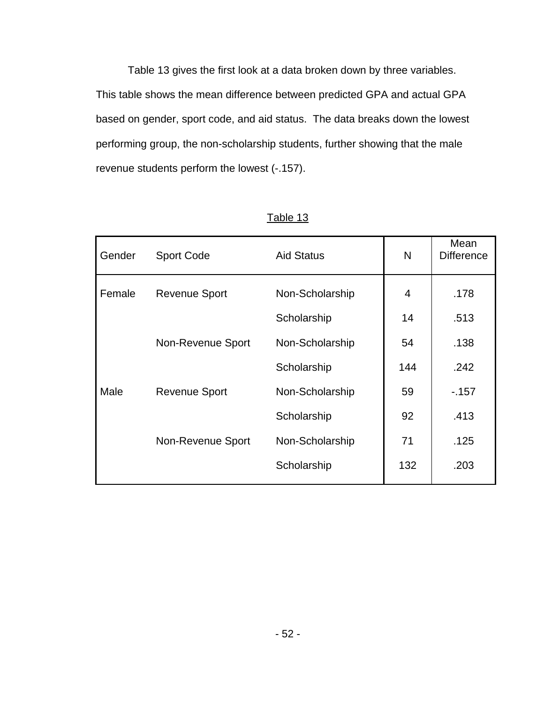Table 13 gives the first look at a data broken down by three variables. This table shows the mean difference between predicted GPA and actual GPA based on gender, sport code, and aid status. The data breaks down the lowest performing group, the non-scholarship students, further showing that the male revenue students perform the lowest (-.157).

| Gender | <b>Sport Code</b>    | <b>Aid Status</b> | N   | Mean<br><b>Difference</b> |
|--------|----------------------|-------------------|-----|---------------------------|
| Female | <b>Revenue Sport</b> | Non-Scholarship   | 4   | .178                      |
|        |                      | Scholarship       | 14  | .513                      |
|        | Non-Revenue Sport    | Non-Scholarship   | 54  | .138                      |
|        |                      | Scholarship       | 144 | .242                      |
| Male   | <b>Revenue Sport</b> | Non-Scholarship   | 59  | $-157$                    |
|        |                      | Scholarship       | 92  | .413                      |
|        | Non-Revenue Sport    | Non-Scholarship   | 71  | .125                      |
|        |                      | Scholarship       | 132 | .203                      |

Table 13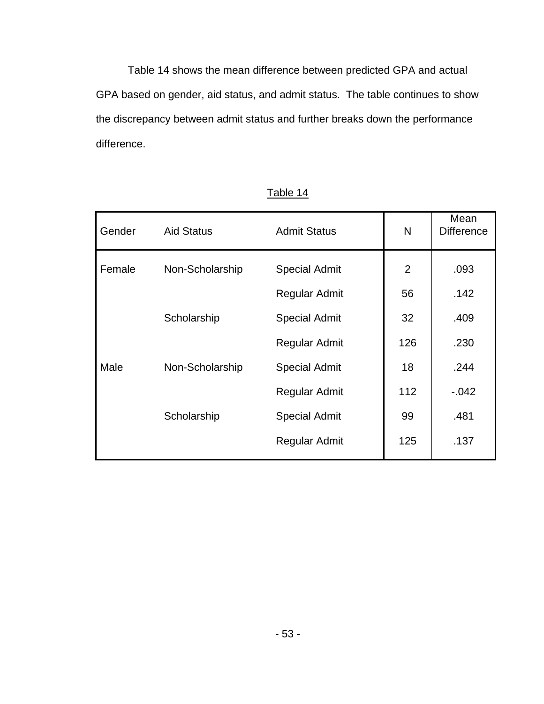Table 14 shows the mean difference between predicted GPA and actual GPA based on gender, aid status, and admit status. The table continues to show the discrepancy between admit status and further breaks down the performance difference.

| Gender | <b>Aid Status</b> | <b>Admit Status</b>  | N              | Mean<br><b>Difference</b> |
|--------|-------------------|----------------------|----------------|---------------------------|
| Female | Non-Scholarship   | <b>Special Admit</b> | $\overline{2}$ | .093                      |
|        |                   | <b>Regular Admit</b> | 56             | .142                      |
|        | Scholarship       | <b>Special Admit</b> | 32             | .409                      |
|        |                   | <b>Regular Admit</b> | 126            | .230                      |
| Male   | Non-Scholarship   | <b>Special Admit</b> | 18             | .244                      |
|        |                   | Regular Admit        | 112            | $-0.042$                  |
|        | Scholarship       | <b>Special Admit</b> | 99             | .481                      |
|        |                   | <b>Regular Admit</b> | 125            | .137                      |

Table 14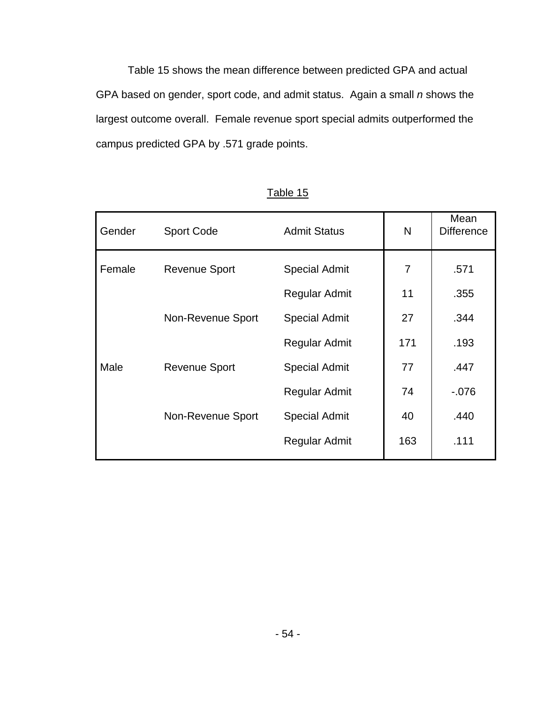Table 15 shows the mean difference between predicted GPA and actual GPA based on gender, sport code, and admit status. Again a small *n* shows the largest outcome overall. Female revenue sport special admits outperformed the campus predicted GPA by .571 grade points.

| Gender | <b>Sport Code</b>    | <b>Admit Status</b>  | N   | Mean<br><b>Difference</b> |
|--------|----------------------|----------------------|-----|---------------------------|
| Female | <b>Revenue Sport</b> | <b>Special Admit</b> | 7   | .571                      |
|        |                      | <b>Regular Admit</b> | 11  | .355                      |
|        | Non-Revenue Sport    | <b>Special Admit</b> | 27  | .344                      |
|        |                      | Regular Admit        | 171 | .193                      |
| Male   | <b>Revenue Sport</b> | <b>Special Admit</b> | 77  | .447                      |
|        |                      | <b>Regular Admit</b> | 74  | $-0.076$                  |
|        | Non-Revenue Sport    | <b>Special Admit</b> | 40  | .440                      |
|        |                      | Regular Admit        | 163 | .111                      |

Table 15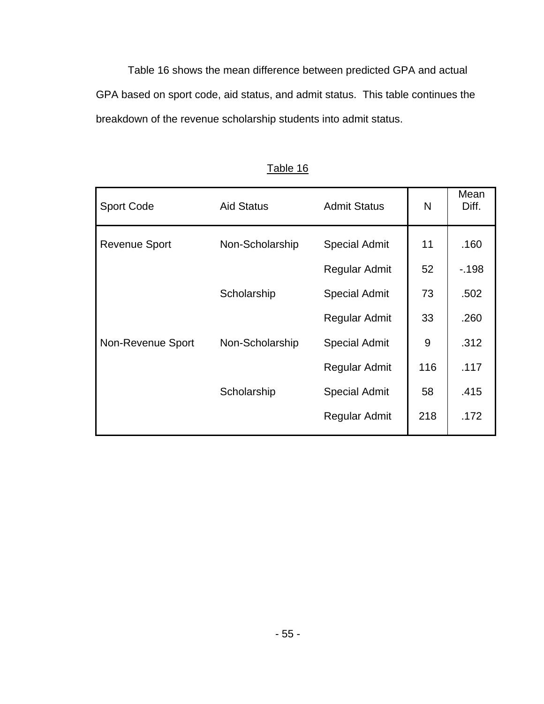Table 16 shows the mean difference between predicted GPA and actual GPA based on sport code, aid status, and admit status. This table continues the breakdown of the revenue scholarship students into admit status.

| <b>Sport Code</b>    | <b>Aid Status</b> | <b>Admit Status</b>  | N   | Mean<br>Diff. |
|----------------------|-------------------|----------------------|-----|---------------|
| <b>Revenue Sport</b> | Non-Scholarship   | <b>Special Admit</b> | 11  | .160          |
|                      |                   | <b>Regular Admit</b> | 52  | $-198$        |
|                      | Scholarship       | <b>Special Admit</b> | 73  | .502          |
|                      |                   | Regular Admit        | 33  | .260          |
| Non-Revenue Sport    | Non-Scholarship   | <b>Special Admit</b> | 9   | .312          |
|                      |                   | Regular Admit        | 116 | .117          |
|                      | Scholarship       | <b>Special Admit</b> | 58  | .415          |
|                      |                   | Regular Admit        | 218 | .172          |

Table 16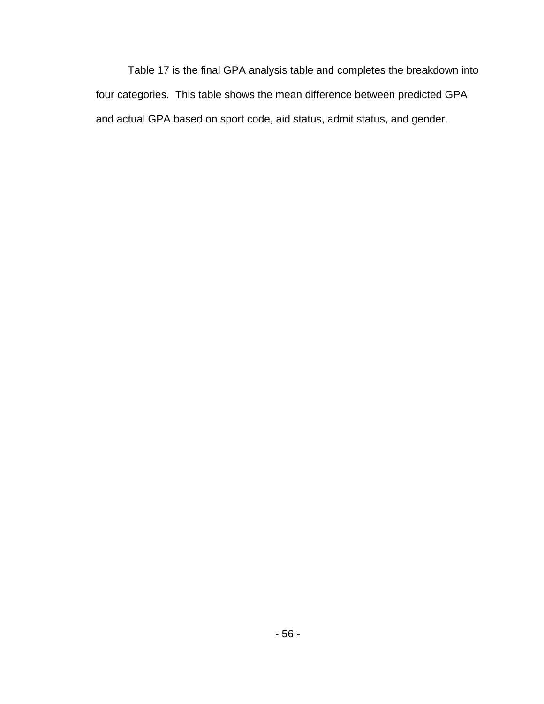Table 17 is the final GPA analysis table and completes the breakdown into four categories. This table shows the mean difference between predicted GPA and actual GPA based on sport code, aid status, admit status, and gender.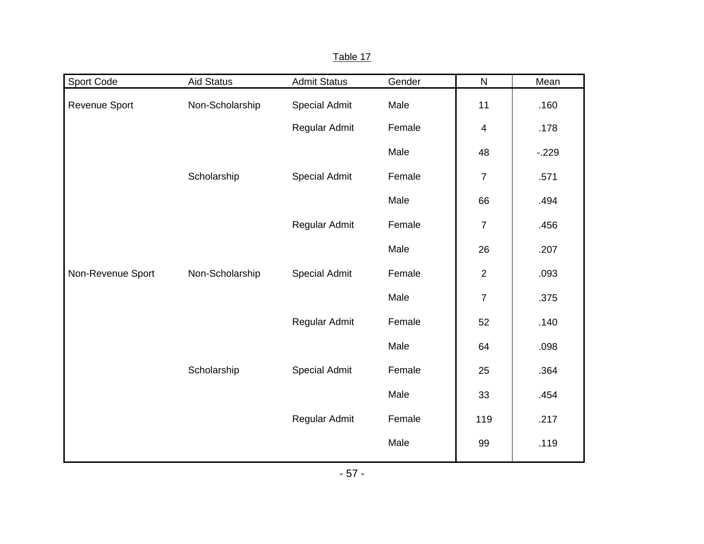| Sport Code        | <b>Aid Status</b> | <b>Admit Status</b>  | Gender | $\mathsf{N}$   | Mean     |
|-------------------|-------------------|----------------------|--------|----------------|----------|
| Revenue Sport     | Non-Scholarship   | <b>Special Admit</b> | Male   | 11             | .160     |
|                   |                   | Regular Admit        | Female | $\overline{4}$ | .178     |
|                   |                   |                      | Male   | 48             | $-0.229$ |
|                   | Scholarship       | <b>Special Admit</b> | Female | $\overline{7}$ | .571     |
|                   |                   |                      | Male   | 66             | .494     |
|                   |                   | Regular Admit        | Female | $\overline{7}$ | .456     |
|                   |                   |                      | Male   | 26             | .207     |
| Non-Revenue Sport | Non-Scholarship   | <b>Special Admit</b> | Female | $\overline{2}$ | .093     |
|                   |                   |                      | Male   | $\overline{7}$ | .375     |
|                   |                   | Regular Admit        | Female | 52             | .140     |
|                   |                   |                      | Male   | 64             | .098     |
|                   | Scholarship       | <b>Special Admit</b> | Female | 25             | .364     |
|                   |                   |                      | Male   | 33             | .454     |
|                   |                   | Regular Admit        | Female | 119            | .217     |
|                   |                   |                      | Male   | 99             | .119     |

| 40 <sup>1</sup> |  |
|-----------------|--|
|                 |  |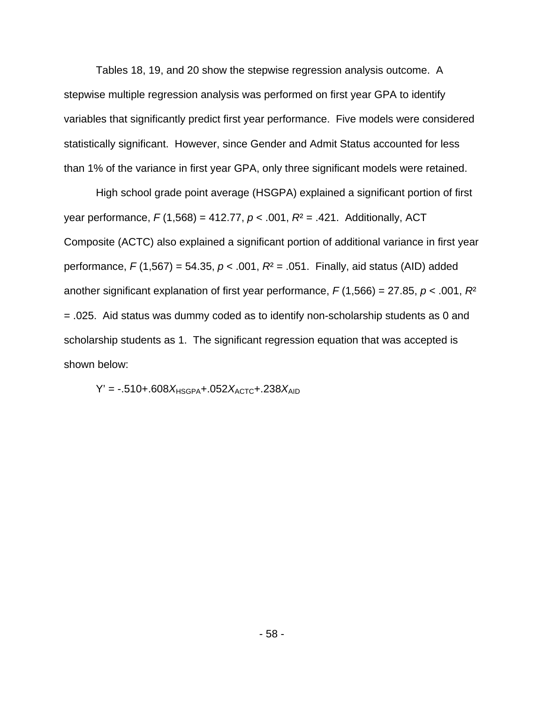Tables 18, 19, and 20 show the stepwise regression analysis outcome. A stepwise multiple regression analysis was performed on first year GPA to identify variables that significantly predict first year performance. Five models were considered statistically significant. However, since Gender and Admit Status accounted for less than 1% of the variance in first year GPA, only three significant models were retained.

High school grade point average (HSGPA) explained a significant portion of first year performance, *F* (1,568) = 412.77, *p* < .001, *R*² = .421. Additionally, ACT Composite (ACTC) also explained a significant portion of additional variance in first year performance, *F* (1,567) = 54.35, *p* < .001, *R*² = .051. Finally, aid status (AID) added another significant explanation of first year performance, *F* (1,566) = 27.85, *p* < .001, *R*² = .025. Aid status was dummy coded as to identify non-scholarship students as 0 and scholarship students as 1. The significant regression equation that was accepted is shown below:

$$
Y' = -.510+.608X_{HSGPA}+.052X_{ACTC}+.238X_{AID}
$$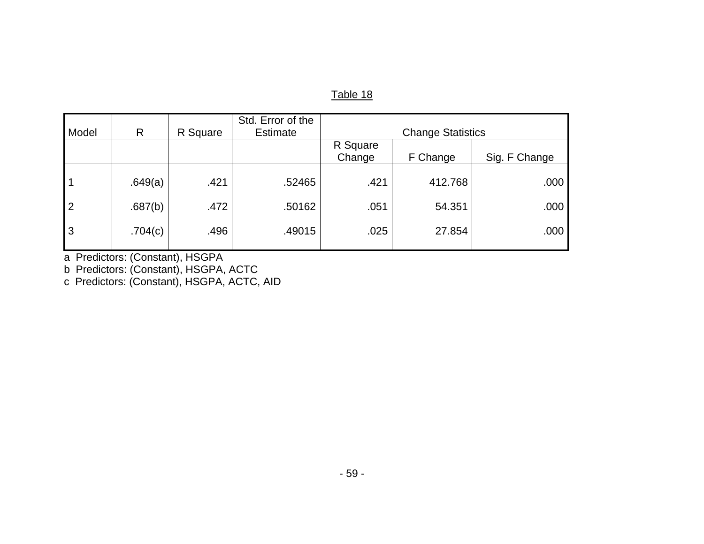| Table |  |
|-------|--|
|       |  |

| Model          | $\mathsf{R}$ | R Square | Std. Error of the<br><b>Estimate</b> |                    | <b>Change Statistics</b> |               |
|----------------|--------------|----------|--------------------------------------|--------------------|--------------------------|---------------|
|                |              |          |                                      | R Square<br>Change | F Change                 | Sig. F Change |
|                | .649(a)      | .421     | .52465                               | .421               | 412.768                  | .000          |
| $\overline{2}$ | .687(b)      | .472     | .50162                               | .051               | 54.351                   | .000          |
| 3              | .704(c)      | .496     | .49015                               | .025               | 27.854                   | .000          |

a Predictors: (Constant), HSGPA

b Predictors: (Constant), HSGPA, ACTC

c Predictors: (Constant), HSGPA, ACTC, AID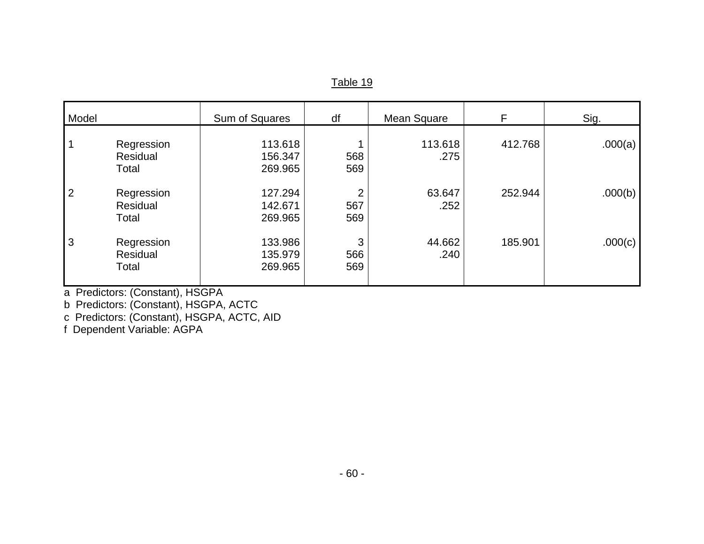| apie |  |
|------|--|
|      |  |

| Model          |                                 | Sum of Squares                | df                           | Mean Square     | F       | Sig.    |
|----------------|---------------------------------|-------------------------------|------------------------------|-----------------|---------|---------|
|                | Regression<br>Residual<br>Total | 113.618<br>156.347<br>269.965 | 568<br>569                   | 113.618<br>.275 | 412.768 | .000(a) |
| $\overline{2}$ | Regression<br>Residual<br>Total | 127.294<br>142.671<br>269.965 | $\overline{2}$<br>567<br>569 | 63.647<br>.252  | 252.944 | .000(b) |
| 3              | Regression<br>Residual<br>Total | 133.986<br>135.979<br>269.965 | 3<br>566<br>569              | 44.662<br>.240  | 185.901 | .000(c) |

a Predictors: (Constant), HSGPA

b Predictors: (Constant), HSGPA, ACTC

c Predictors: (Constant), HSGPA, ACTC, AID

f Dependent Variable: AGPA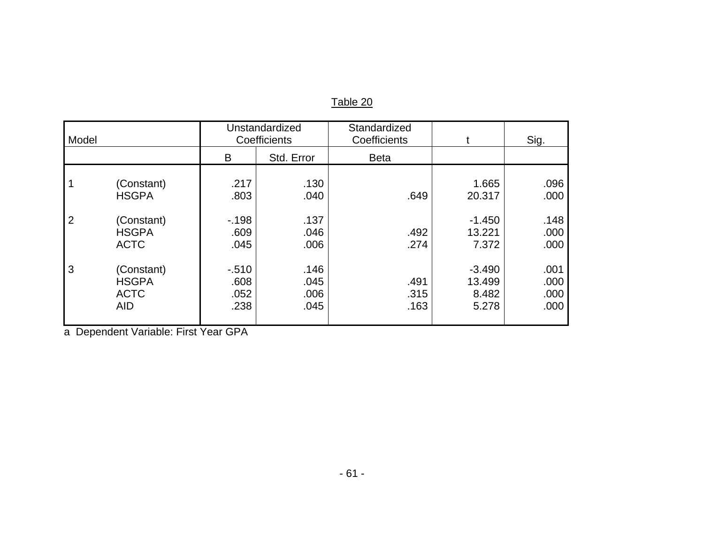### Table 20

| Model          |                                                          |                                  | Unstandardized<br>Coefficients | Standardized<br>Coefficients |                                       | Sig.                         |
|----------------|----------------------------------------------------------|----------------------------------|--------------------------------|------------------------------|---------------------------------------|------------------------------|
|                |                                                          | B                                | Std. Error                     | <b>Beta</b>                  |                                       |                              |
| $\overline{2}$ | (Constant)<br><b>HSGPA</b><br>(Constant)<br><b>HSGPA</b> | .217<br>.803<br>$-198$<br>.609   | .130<br>.040<br>.137<br>.046   | .649<br>.492                 | 1.665<br>20.317<br>$-1.450$<br>13.221 | .096<br>.000<br>.148<br>.000 |
|                | <b>ACTC</b>                                              | .045                             | .006                           | .274                         | 7.372                                 | .000                         |
| 3              | (Constant)<br><b>HSGPA</b><br><b>ACTC</b><br><b>AID</b>  | $-0.510$<br>.608<br>.052<br>.238 | .146<br>.045<br>.006<br>.045   | .491<br>.315<br>.163         | $-3.490$<br>13.499<br>8.482<br>5.278  | .001<br>.000<br>.000<br>.000 |

a Dependent Variable: First Year GPA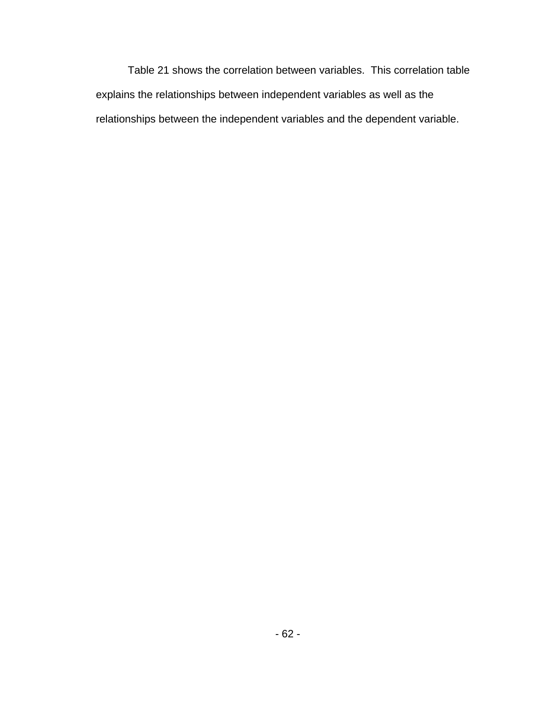Table 21 shows the correlation between variables. This correlation table explains the relationships between independent variables as well as the relationships between the independent variables and the dependent variable.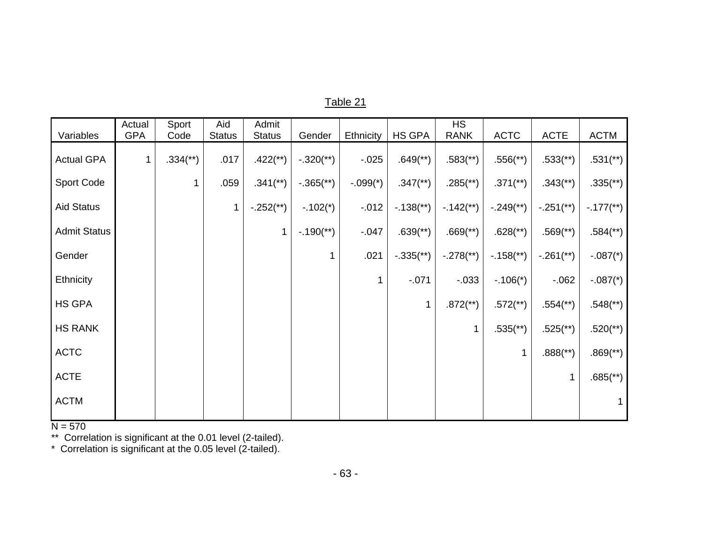| Variables           | Actual<br><b>GPA</b> | Sport<br>Code            | Aid<br><b>Status</b> | Admit<br><b>Status</b>   | Gender                    | Ethnicity  | HS GPA                    | <b>HS</b><br><b>RANK</b> | <b>ACTC</b>              | <b>ACTE</b>              | <b>ACTM</b>              |
|---------------------|----------------------|--------------------------|----------------------|--------------------------|---------------------------|------------|---------------------------|--------------------------|--------------------------|--------------------------|--------------------------|
| <b>Actual GPA</b>   | $\mathbf{1}$         | $.334$ <sup>(**)</sup> ) | .017                 | $.422$ (**)              | $-.320$ (**)              | $-0.025$   | $.649$ <sup>**</sup> )    | $.583$ <sup>(**</sup> )  | $.556$ <sup>(**)</sup> ) | $.533$ <sup>(**)</sup>   | $.531$ <sup>(**)</sup> ) |
| Sport Code          |                      |                          | .059                 | $.341$ <sup>(**)</sup> ) | $-.365$ <sup>**</sup> )   | $-.099(*)$ | $.347$ <sup>(**)</sup> )  | $.285$ <sup>(**)</sup> ) | $.371$ <sup>(**)</sup> ) | $.343$ <sup>(**)</sup> ) | $.335$ <sup>(**)</sup> ) |
| <b>Aid Status</b>   |                      |                          |                      | $-.252$ <sup>**</sup> )  | $-.102(*)$                | $-0.012$   | $-.138$ <sup>**</sup> )   | $-.142$ <sup>**</sup> )  | $-.249$ <sup>**</sup> )  | $-.251$ <sup>**</sup> )  | $-.177$ (**)             |
| <b>Admit Status</b> |                      |                          |                      | 1                        | $-.190$ <sup>(**)</sup> ) | $-0.047$   | $.639$ <sup>(**)</sup> )  | $.669$ <sup>(**</sup> )  | $.628$ <sup>**</sup> )   | $.569$ <sup>(**)</sup> ) | $.584$ <sup>(**)</sup> ) |
| Gender              |                      |                          |                      |                          |                           | .021       | $-.335$ <sup>(**)</sup> ) | $-.278$ <sup>**</sup> )  | $-0.158$ <sup>**</sup> ) | $-.261$ <sup>**</sup> )  | $-.087(*)$               |
| Ethnicity           |                      |                          |                      |                          |                           | 1          | $-071$                    | $-0.033$                 | $-.106(*)$               | $-062$                   | $-.087*$                 |
| <b>HS GPA</b>       |                      |                          |                      |                          |                           |            | 1                         | $.872$ <sup>**</sup> )   | $.572$ <sup>**</sup> )   | $.554$ <sup>(**)</sup> ) | $.548$ <sup>(**)</sup> ) |
| <b>HS RANK</b>      |                      |                          |                      |                          |                           |            |                           | $\mathbf{1}$             | $.535$ <sup>(**)</sup> ) | $.525$ <sup>(**</sup> )  | $.520$ <sup>**</sup> )   |
| <b>ACTC</b>         |                      |                          |                      |                          |                           |            |                           |                          | 1                        | $.888$ <sup>(**</sup> )  | $.869$ <sup>(**</sup> )  |
| <b>ACTE</b>         |                      |                          |                      |                          |                           |            |                           |                          |                          | 1                        | $.685$ <sup>(**</sup> )  |
| <b>ACTM</b>         |                      |                          |                      |                          |                           |            |                           |                          |                          |                          |                          |
|                     |                      |                          |                      |                          |                           |            |                           |                          |                          |                          |                          |

N = 570 \*\* Correlation is significant at the 0.01 level (2-tailed).

\* Correlation is significant at the 0.05 level (2-tailed).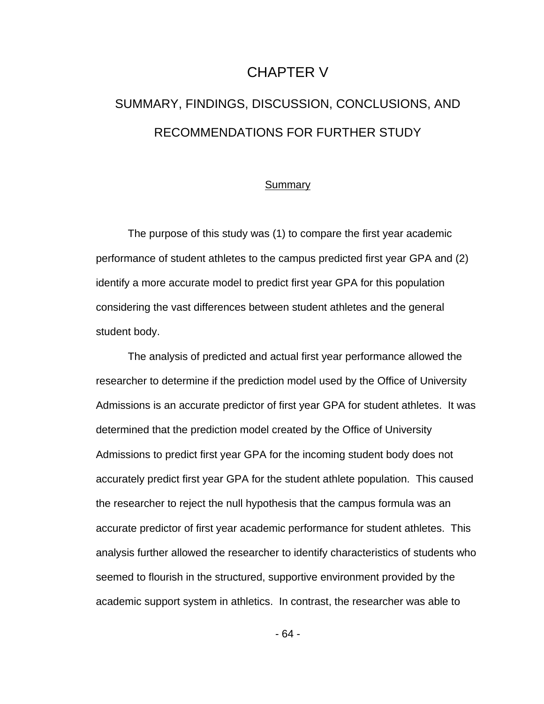# CHAPTER V

# SUMMARY, FINDINGS, DISCUSSION, CONCLUSIONS, AND RECOMMENDATIONS FOR FURTHER STUDY

#### Summary

 The purpose of this study was (1) to compare the first year academic performance of student athletes to the campus predicted first year GPA and (2) identify a more accurate model to predict first year GPA for this population considering the vast differences between student athletes and the general student body.

The analysis of predicted and actual first year performance allowed the researcher to determine if the prediction model used by the Office of University Admissions is an accurate predictor of first year GPA for student athletes. It was determined that the prediction model created by the Office of University Admissions to predict first year GPA for the incoming student body does not accurately predict first year GPA for the student athlete population. This caused the researcher to reject the null hypothesis that the campus formula was an accurate predictor of first year academic performance for student athletes. This analysis further allowed the researcher to identify characteristics of students who seemed to flourish in the structured, supportive environment provided by the academic support system in athletics. In contrast, the researcher was able to

- 64 -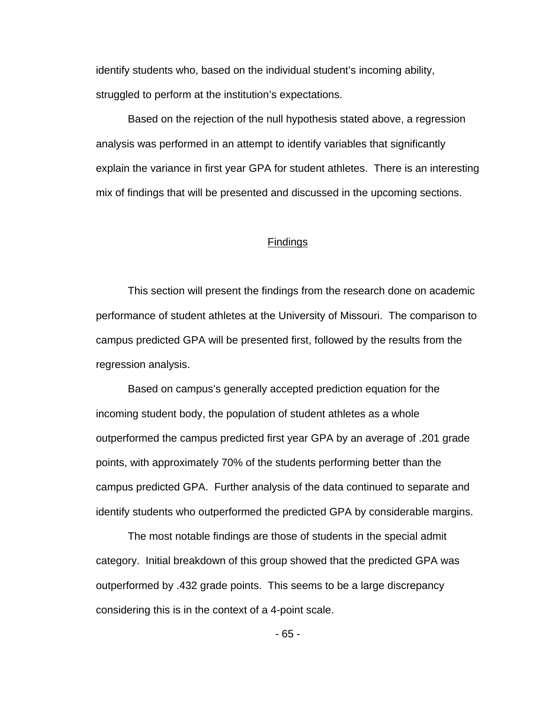identify students who, based on the individual student's incoming ability, struggled to perform at the institution's expectations.

 Based on the rejection of the null hypothesis stated above, a regression analysis was performed in an attempt to identify variables that significantly explain the variance in first year GPA for student athletes. There is an interesting mix of findings that will be presented and discussed in the upcoming sections.

## **Findings**

 This section will present the findings from the research done on academic performance of student athletes at the University of Missouri. The comparison to campus predicted GPA will be presented first, followed by the results from the regression analysis.

 Based on campus's generally accepted prediction equation for the incoming student body, the population of student athletes as a whole outperformed the campus predicted first year GPA by an average of .201 grade points, with approximately 70% of the students performing better than the campus predicted GPA. Further analysis of the data continued to separate and identify students who outperformed the predicted GPA by considerable margins.

The most notable findings are those of students in the special admit category. Initial breakdown of this group showed that the predicted GPA was outperformed by .432 grade points. This seems to be a large discrepancy considering this is in the context of a 4-point scale.

- 65 -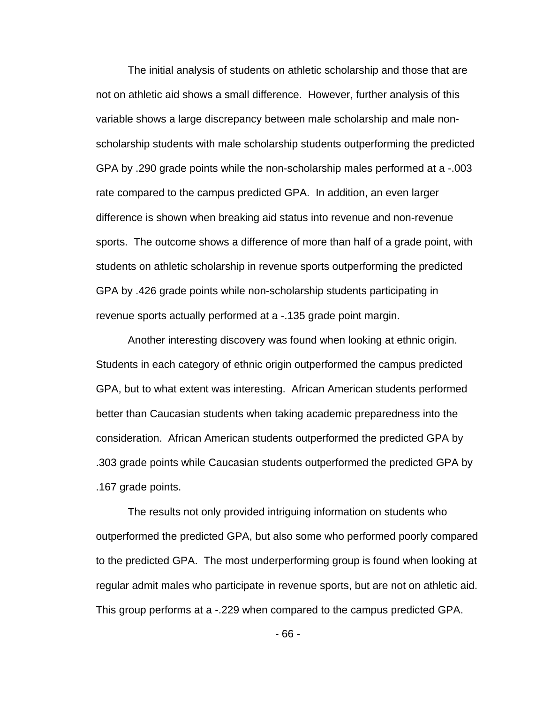The initial analysis of students on athletic scholarship and those that are not on athletic aid shows a small difference. However, further analysis of this variable shows a large discrepancy between male scholarship and male nonscholarship students with male scholarship students outperforming the predicted GPA by .290 grade points while the non-scholarship males performed at a -.003 rate compared to the campus predicted GPA. In addition, an even larger difference is shown when breaking aid status into revenue and non-revenue sports. The outcome shows a difference of more than half of a grade point, with students on athletic scholarship in revenue sports outperforming the predicted GPA by .426 grade points while non-scholarship students participating in revenue sports actually performed at a -.135 grade point margin.

 Another interesting discovery was found when looking at ethnic origin. Students in each category of ethnic origin outperformed the campus predicted GPA, but to what extent was interesting. African American students performed better than Caucasian students when taking academic preparedness into the consideration. African American students outperformed the predicted GPA by .303 grade points while Caucasian students outperformed the predicted GPA by .167 grade points.

 The results not only provided intriguing information on students who outperformed the predicted GPA, but also some who performed poorly compared to the predicted GPA. The most underperforming group is found when looking at regular admit males who participate in revenue sports, but are not on athletic aid. This group performs at a -.229 when compared to the campus predicted GPA.

- 66 -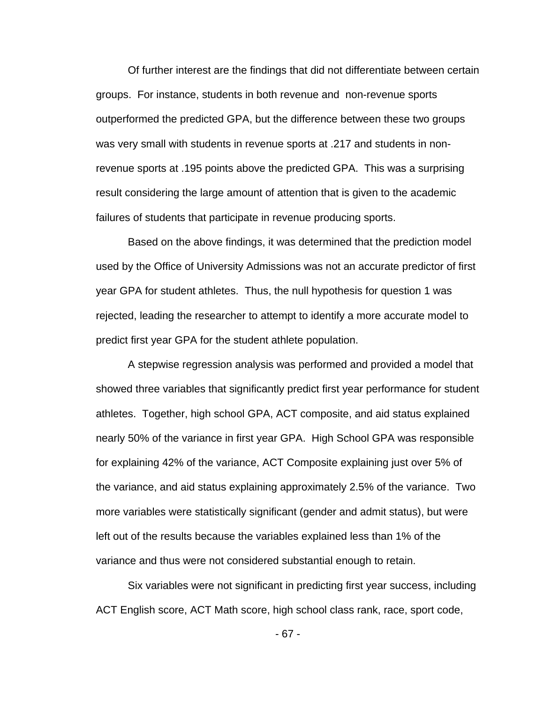Of further interest are the findings that did not differentiate between certain groups. For instance, students in both revenue and non-revenue sports outperformed the predicted GPA, but the difference between these two groups was very small with students in revenue sports at .217 and students in nonrevenue sports at .195 points above the predicted GPA. This was a surprising result considering the large amount of attention that is given to the academic failures of students that participate in revenue producing sports.

Based on the above findings, it was determined that the prediction model used by the Office of University Admissions was not an accurate predictor of first year GPA for student athletes. Thus, the null hypothesis for question 1 was rejected, leading the researcher to attempt to identify a more accurate model to predict first year GPA for the student athlete population.

A stepwise regression analysis was performed and provided a model that showed three variables that significantly predict first year performance for student athletes. Together, high school GPA, ACT composite, and aid status explained nearly 50% of the variance in first year GPA. High School GPA was responsible for explaining 42% of the variance, ACT Composite explaining just over 5% of the variance, and aid status explaining approximately 2.5% of the variance. Two more variables were statistically significant (gender and admit status), but were left out of the results because the variables explained less than 1% of the variance and thus were not considered substantial enough to retain.

Six variables were not significant in predicting first year success, including ACT English score, ACT Math score, high school class rank, race, sport code,

- 67 -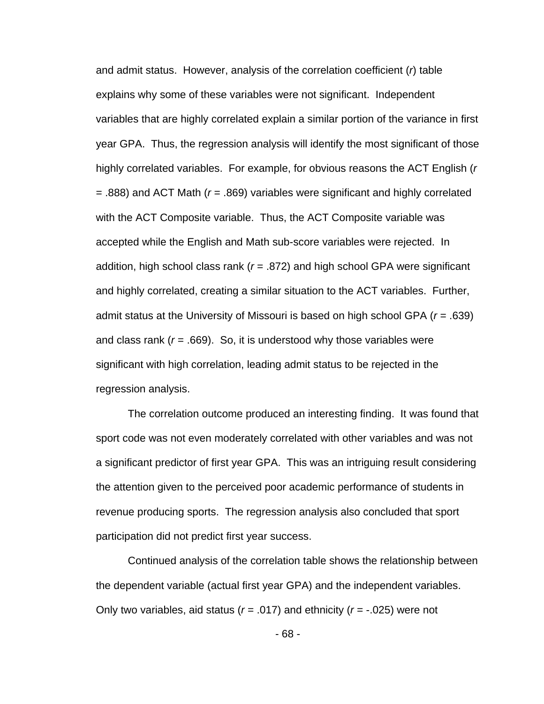and admit status. However, analysis of the correlation coefficient (*r*) table explains why some of these variables were not significant. Independent variables that are highly correlated explain a similar portion of the variance in first year GPA. Thus, the regression analysis will identify the most significant of those highly correlated variables. For example, for obvious reasons the ACT English (*r* = .888) and ACT Math (*r* = .869) variables were significant and highly correlated with the ACT Composite variable. Thus, the ACT Composite variable was accepted while the English and Math sub-score variables were rejected. In addition, high school class rank (*r* = .872) and high school GPA were significant and highly correlated, creating a similar situation to the ACT variables. Further, admit status at the University of Missouri is based on high school GPA (*r* = .639) and class rank  $(r = .669)$ . So, it is understood why those variables were significant with high correlation, leading admit status to be rejected in the regression analysis.

The correlation outcome produced an interesting finding. It was found that sport code was not even moderately correlated with other variables and was not a significant predictor of first year GPA. This was an intriguing result considering the attention given to the perceived poor academic performance of students in revenue producing sports. The regression analysis also concluded that sport participation did not predict first year success.

Continued analysis of the correlation table shows the relationship between the dependent variable (actual first year GPA) and the independent variables. Only two variables, aid status (*r* = .017) and ethnicity (*r* = -.025) were not

- 68 -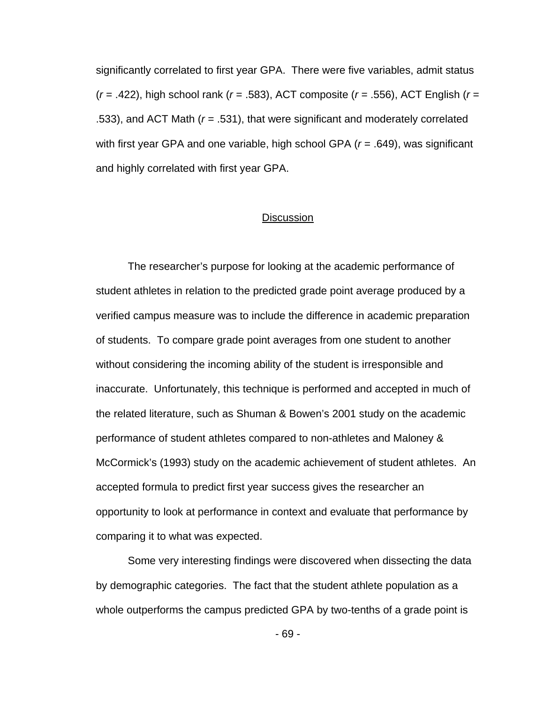significantly correlated to first year GPA. There were five variables, admit status (*r* = .422), high school rank (*r* = .583), ACT composite (*r* = .556), ACT English (*r* = .533), and ACT Math (*r* = .531), that were significant and moderately correlated with first year GPA and one variable, high school GPA (*r* = .649), was significant and highly correlated with first year GPA.

#### **Discussion**

The researcher's purpose for looking at the academic performance of student athletes in relation to the predicted grade point average produced by a verified campus measure was to include the difference in academic preparation of students. To compare grade point averages from one student to another without considering the incoming ability of the student is irresponsible and inaccurate. Unfortunately, this technique is performed and accepted in much of the related literature, such as Shuman & Bowen's 2001 study on the academic performance of student athletes compared to non-athletes and Maloney & McCormick's (1993) study on the academic achievement of student athletes. An accepted formula to predict first year success gives the researcher an opportunity to look at performance in context and evaluate that performance by comparing it to what was expected.

Some very interesting findings were discovered when dissecting the data by demographic categories. The fact that the student athlete population as a whole outperforms the campus predicted GPA by two-tenths of a grade point is

- 69 -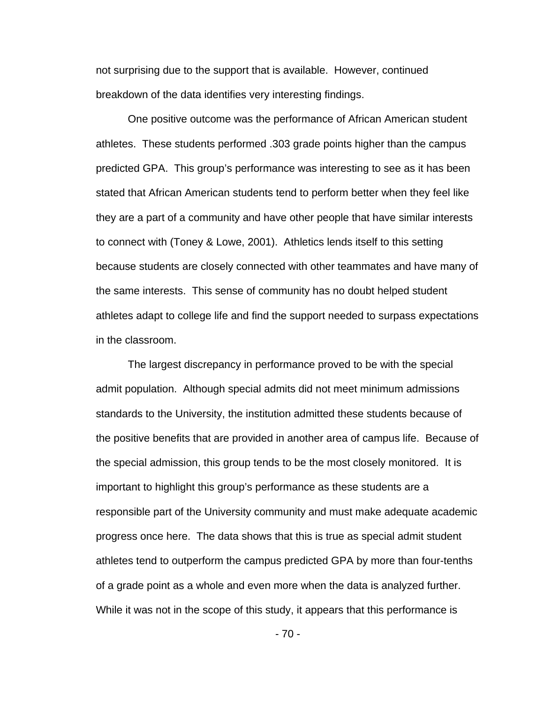not surprising due to the support that is available. However, continued breakdown of the data identifies very interesting findings.

One positive outcome was the performance of African American student athletes. These students performed .303 grade points higher than the campus predicted GPA. This group's performance was interesting to see as it has been stated that African American students tend to perform better when they feel like they are a part of a community and have other people that have similar interests to connect with (Toney & Lowe, 2001). Athletics lends itself to this setting because students are closely connected with other teammates and have many of the same interests. This sense of community has no doubt helped student athletes adapt to college life and find the support needed to surpass expectations in the classroom.

The largest discrepancy in performance proved to be with the special admit population. Although special admits did not meet minimum admissions standards to the University, the institution admitted these students because of the positive benefits that are provided in another area of campus life. Because of the special admission, this group tends to be the most closely monitored. It is important to highlight this group's performance as these students are a responsible part of the University community and must make adequate academic progress once here. The data shows that this is true as special admit student athletes tend to outperform the campus predicted GPA by more than four-tenths of a grade point as a whole and even more when the data is analyzed further. While it was not in the scope of this study, it appears that this performance is

- 70 -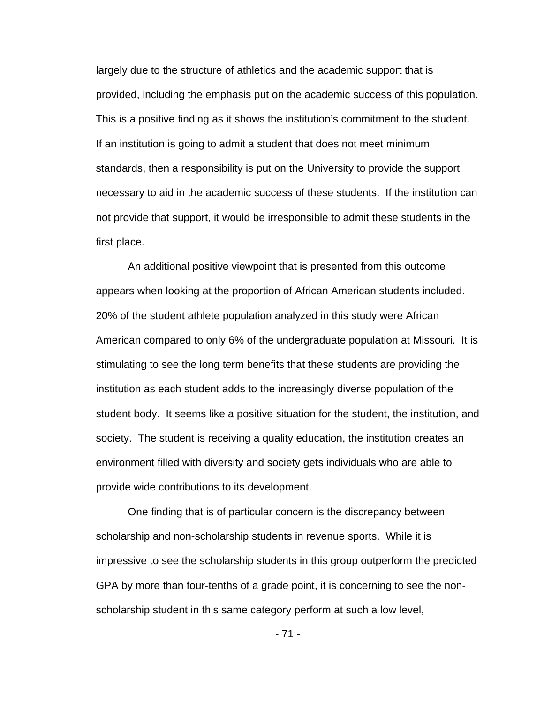largely due to the structure of athletics and the academic support that is provided, including the emphasis put on the academic success of this population. This is a positive finding as it shows the institution's commitment to the student. If an institution is going to admit a student that does not meet minimum standards, then a responsibility is put on the University to provide the support necessary to aid in the academic success of these students. If the institution can not provide that support, it would be irresponsible to admit these students in the first place.

An additional positive viewpoint that is presented from this outcome appears when looking at the proportion of African American students included. 20% of the student athlete population analyzed in this study were African American compared to only 6% of the undergraduate population at Missouri. It is stimulating to see the long term benefits that these students are providing the institution as each student adds to the increasingly diverse population of the student body. It seems like a positive situation for the student, the institution, and society. The student is receiving a quality education, the institution creates an environment filled with diversity and society gets individuals who are able to provide wide contributions to its development.

One finding that is of particular concern is the discrepancy between scholarship and non-scholarship students in revenue sports. While it is impressive to see the scholarship students in this group outperform the predicted GPA by more than four-tenths of a grade point, it is concerning to see the nonscholarship student in this same category perform at such a low level,

- 71 -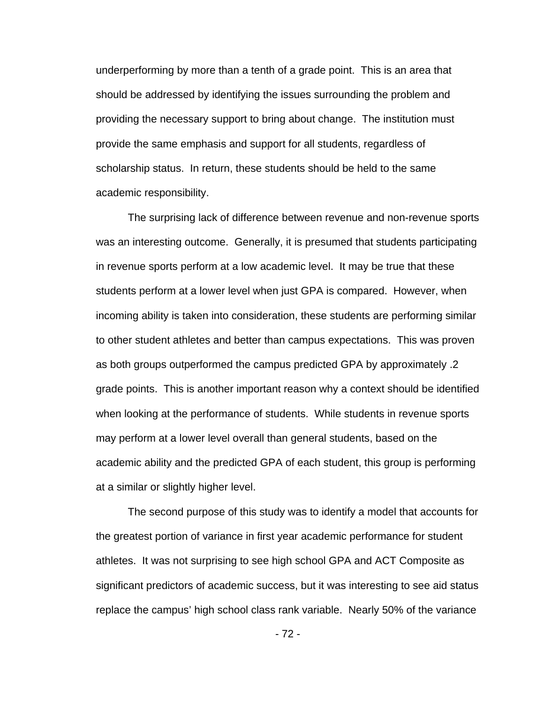underperforming by more than a tenth of a grade point. This is an area that should be addressed by identifying the issues surrounding the problem and providing the necessary support to bring about change. The institution must provide the same emphasis and support for all students, regardless of scholarship status. In return, these students should be held to the same academic responsibility.

The surprising lack of difference between revenue and non-revenue sports was an interesting outcome. Generally, it is presumed that students participating in revenue sports perform at a low academic level. It may be true that these students perform at a lower level when just GPA is compared. However, when incoming ability is taken into consideration, these students are performing similar to other student athletes and better than campus expectations. This was proven as both groups outperformed the campus predicted GPA by approximately .2 grade points. This is another important reason why a context should be identified when looking at the performance of students. While students in revenue sports may perform at a lower level overall than general students, based on the academic ability and the predicted GPA of each student, this group is performing at a similar or slightly higher level.

The second purpose of this study was to identify a model that accounts for the greatest portion of variance in first year academic performance for student athletes. It was not surprising to see high school GPA and ACT Composite as significant predictors of academic success, but it was interesting to see aid status replace the campus' high school class rank variable. Nearly 50% of the variance

- 72 -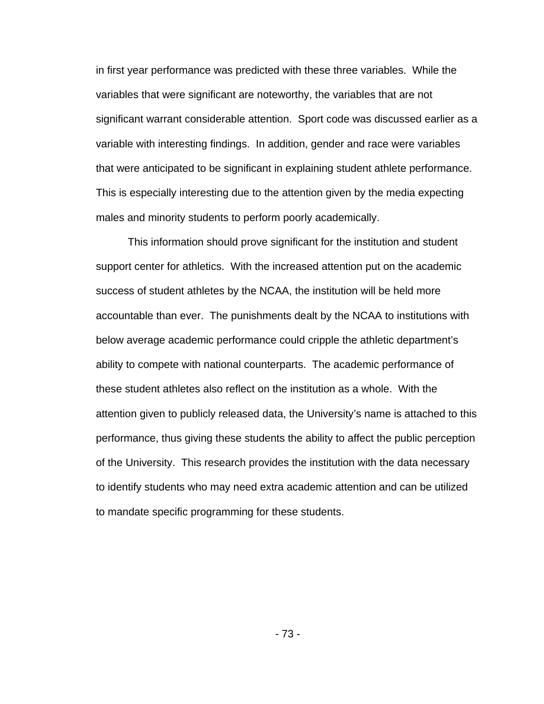in first year performance was predicted with these three variables. While the variables that were significant are noteworthy, the variables that are not significant warrant considerable attention. Sport code was discussed earlier as a variable with interesting findings. In addition, gender and race were variables that were anticipated to be significant in explaining student athlete performance. This is especially interesting due to the attention given by the media expecting males and minority students to perform poorly academically.

This information should prove significant for the institution and student support center for athletics. With the increased attention put on the academic success of student athletes by the NCAA, the institution will be held more accountable than ever. The punishments dealt by the NCAA to institutions with below average academic performance could cripple the athletic department's ability to compete with national counterparts. The academic performance of these student athletes also reflect on the institution as a whole. With the attention given to publicly released data, the University's name is attached to this performance, thus giving these students the ability to affect the public perception of the University. This research provides the institution with the data necessary to identify students who may need extra academic attention and can be utilized to mandate specific programming for these students.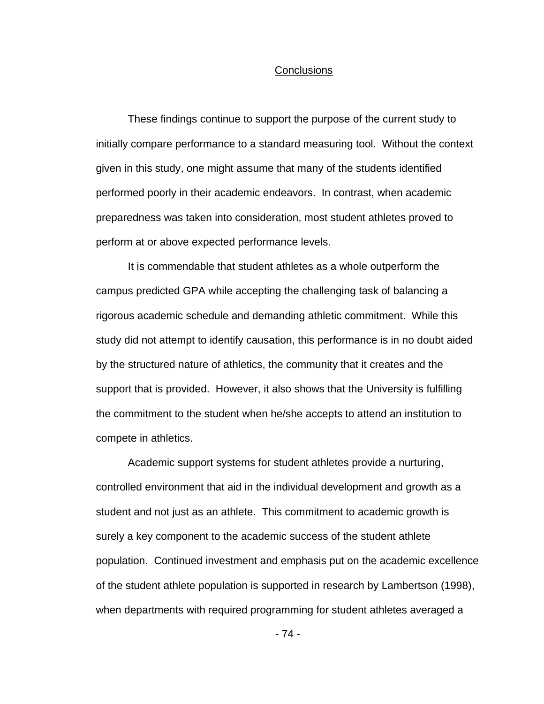#### **Conclusions**

These findings continue to support the purpose of the current study to initially compare performance to a standard measuring tool. Without the context given in this study, one might assume that many of the students identified performed poorly in their academic endeavors. In contrast, when academic preparedness was taken into consideration, most student athletes proved to perform at or above expected performance levels.

It is commendable that student athletes as a whole outperform the campus predicted GPA while accepting the challenging task of balancing a rigorous academic schedule and demanding athletic commitment. While this study did not attempt to identify causation, this performance is in no doubt aided by the structured nature of athletics, the community that it creates and the support that is provided. However, it also shows that the University is fulfilling the commitment to the student when he/she accepts to attend an institution to compete in athletics.

Academic support systems for student athletes provide a nurturing, controlled environment that aid in the individual development and growth as a student and not just as an athlete. This commitment to academic growth is surely a key component to the academic success of the student athlete population. Continued investment and emphasis put on the academic excellence of the student athlete population is supported in research by Lambertson (1998), when departments with required programming for student athletes averaged a

- 74 -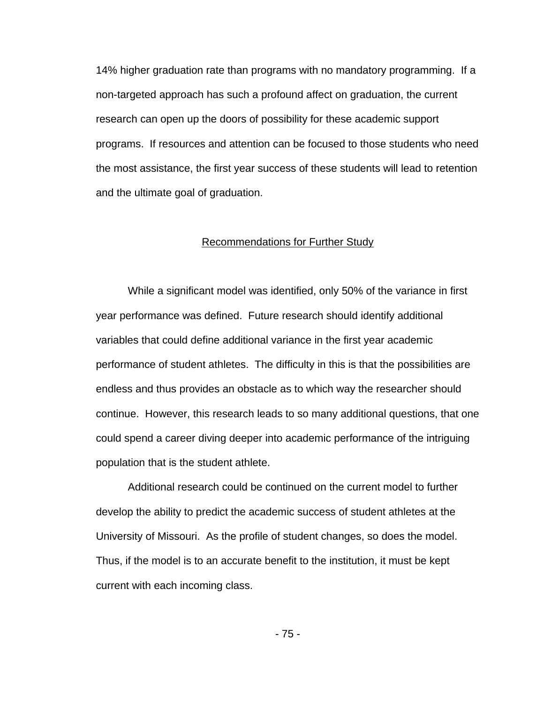14% higher graduation rate than programs with no mandatory programming. If a non-targeted approach has such a profound affect on graduation, the current research can open up the doors of possibility for these academic support programs. If resources and attention can be focused to those students who need the most assistance, the first year success of these students will lead to retention and the ultimate goal of graduation.

#### Recommendations for Further Study

While a significant model was identified, only 50% of the variance in first year performance was defined. Future research should identify additional variables that could define additional variance in the first year academic performance of student athletes. The difficulty in this is that the possibilities are endless and thus provides an obstacle as to which way the researcher should continue. However, this research leads to so many additional questions, that one could spend a career diving deeper into academic performance of the intriguing population that is the student athlete.

Additional research could be continued on the current model to further develop the ability to predict the academic success of student athletes at the University of Missouri. As the profile of student changes, so does the model. Thus, if the model is to an accurate benefit to the institution, it must be kept current with each incoming class.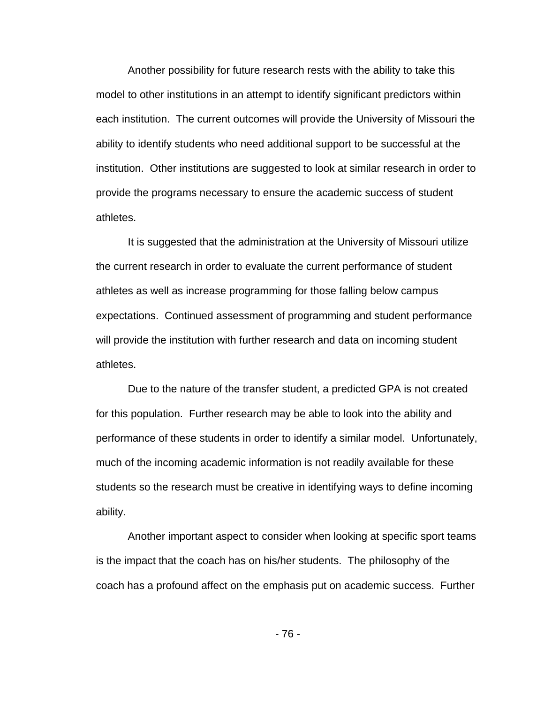Another possibility for future research rests with the ability to take this model to other institutions in an attempt to identify significant predictors within each institution. The current outcomes will provide the University of Missouri the ability to identify students who need additional support to be successful at the institution. Other institutions are suggested to look at similar research in order to provide the programs necessary to ensure the academic success of student athletes.

It is suggested that the administration at the University of Missouri utilize the current research in order to evaluate the current performance of student athletes as well as increase programming for those falling below campus expectations. Continued assessment of programming and student performance will provide the institution with further research and data on incoming student athletes.

 Due to the nature of the transfer student, a predicted GPA is not created for this population. Further research may be able to look into the ability and performance of these students in order to identify a similar model. Unfortunately, much of the incoming academic information is not readily available for these students so the research must be creative in identifying ways to define incoming ability.

 Another important aspect to consider when looking at specific sport teams is the impact that the coach has on his/her students. The philosophy of the coach has a profound affect on the emphasis put on academic success. Further

- 76 -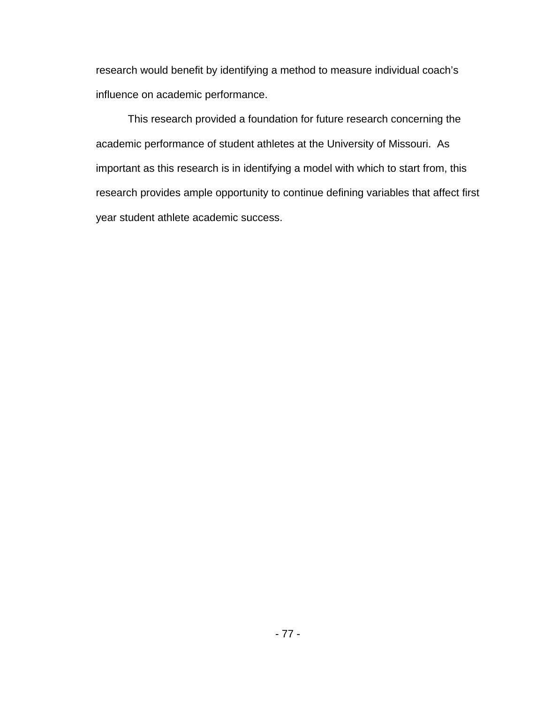research would benefit by identifying a method to measure individual coach's influence on academic performance.

 This research provided a foundation for future research concerning the academic performance of student athletes at the University of Missouri. As important as this research is in identifying a model with which to start from, this research provides ample opportunity to continue defining variables that affect first year student athlete academic success.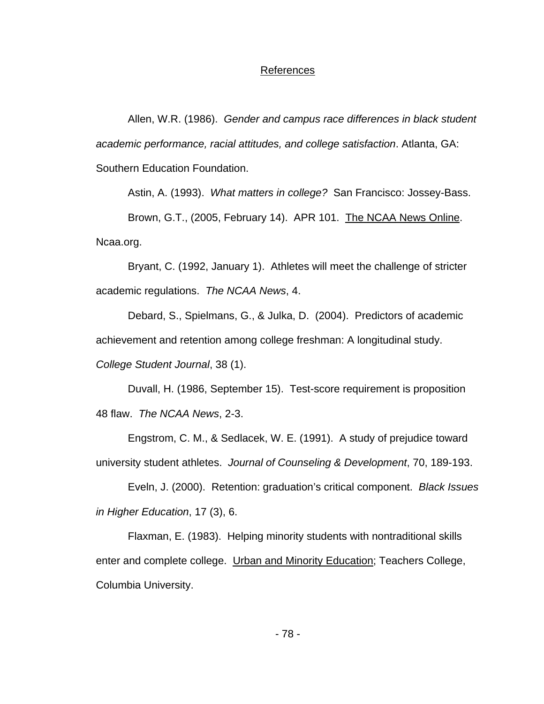## References

 Allen, W.R. (1986). *Gender and campus race differences in black student academic performance, racial attitudes, and college satisfaction*. Atlanta, GA: Southern Education Foundation.

Astin, A. (1993). *What matters in college?* San Francisco: Jossey-Bass.

Brown, G.T., (2005, February 14). APR 101. The NCAA News Online. Ncaa.org.

 Bryant, C. (1992, January 1). Athletes will meet the challenge of stricter academic regulations. *The NCAA News*, 4.

Debard, S., Spielmans, G., & Julka, D. (2004). Predictors of academic achievement and retention among college freshman: A longitudinal study. *College Student Journal*, 38 (1).

Duvall, H. (1986, September 15). Test-score requirement is proposition 48 flaw. *The NCAA News*, 2-3.

 Engstrom, C. M., & Sedlacek, W. E. (1991). A study of prejudice toward university student athletes. *Journal of Counseling & Development*, 70, 189-193.

 Eveln, J. (2000). Retention: graduation's critical component. *Black Issues in Higher Education*, 17 (3), 6.

 Flaxman, E. (1983). Helping minority students with nontraditional skills enter and complete college. Urban and Minority Education; Teachers College, Columbia University.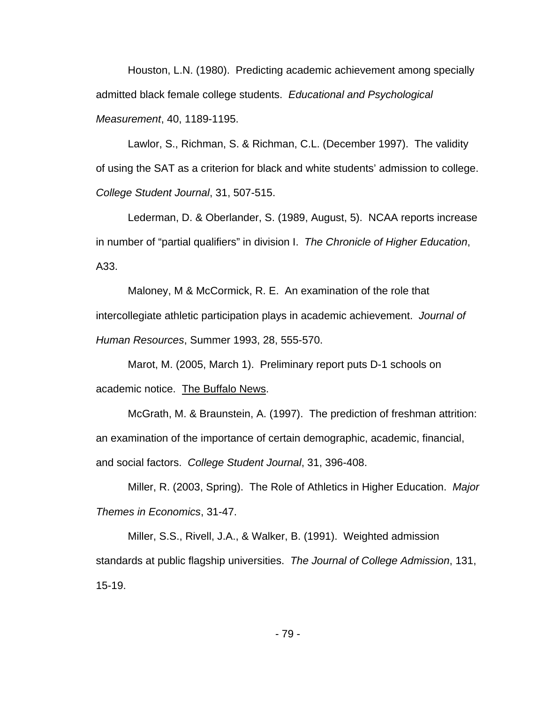Houston, L.N. (1980). Predicting academic achievement among specially admitted black female college students. *Educational and Psychological Measurement*, 40, 1189-1195.

 Lawlor, S., Richman, S. & Richman, C.L. (December 1997). The validity of using the SAT as a criterion for black and white students' admission to college. *College Student Journal*, 31, 507-515.

Lederman, D. & Oberlander, S. (1989, August, 5). NCAA reports increase in number of "partial qualifiers" in division I. *The Chronicle of Higher Education*, A33.

 Maloney, M & McCormick, R. E. An examination of the role that intercollegiate athletic participation plays in academic achievement. *Journal of Human Resources*, Summer 1993, 28, 555-570.

Marot, M. (2005, March 1). Preliminary report puts D-1 schools on academic notice. The Buffalo News.

 McGrath, M. & Braunstein, A. (1997). The prediction of freshman attrition: an examination of the importance of certain demographic, academic, financial, and social factors. *College Student Journal*, 31, 396-408.

 Miller, R. (2003, Spring). The Role of Athletics in Higher Education. *Major Themes in Economics*, 31-47.

 Miller, S.S., Rivell, J.A., & Walker, B. (1991). Weighted admission standards at public flagship universities. *The Journal of College Admission*, 131, 15-19.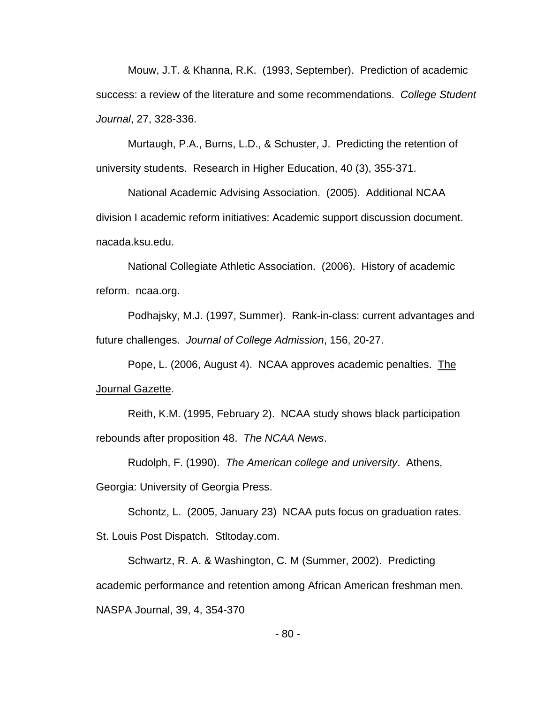Mouw, J.T. & Khanna, R.K. (1993, September). Prediction of academic success: a review of the literature and some recommendations. *College Student Journal*, 27, 328-336.

 Murtaugh, P.A., Burns, L.D., & Schuster, J. Predicting the retention of university students. Research in Higher Education, 40 (3), 355-371.

 National Academic Advising Association. (2005). Additional NCAA division I academic reform initiatives: Academic support discussion document. nacada.ksu.edu.

 National Collegiate Athletic Association. (2006). History of academic reform. ncaa.org.

 Podhajsky, M.J. (1997, Summer). Rank-in-class: current advantages and future challenges. *Journal of College Admission*, 156, 20-27.

 Pope, L. (2006, August 4). NCAA approves academic penalties. The Journal Gazette.

 Reith, K.M. (1995, February 2). NCAA study shows black participation rebounds after proposition 48. *The NCAA News*.

 Rudolph, F. (1990). *The American college and university*. Athens, Georgia: University of Georgia Press.

Schontz, L. (2005, January 23) NCAA puts focus on graduation rates. St. Louis Post Dispatch. Stltoday.com.

 Schwartz, R. A. & Washington, C. M (Summer, 2002). Predicting academic performance and retention among African American freshman men. NASPA Journal, 39, 4, 354-370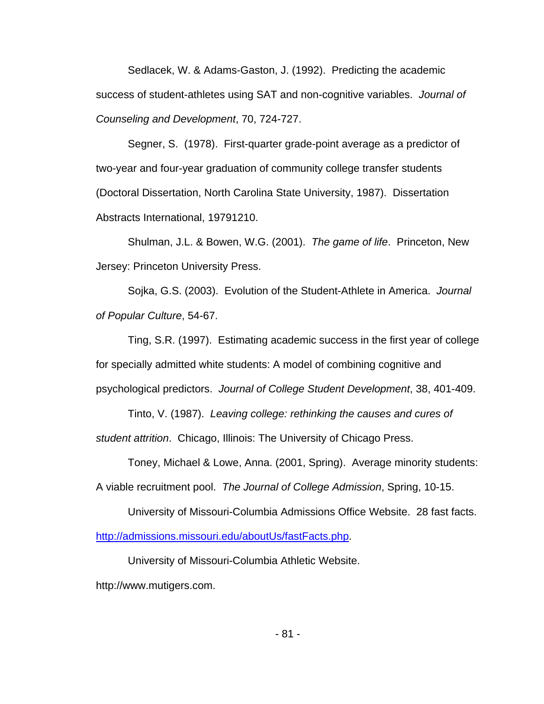Sedlacek, W. & Adams-Gaston, J. (1992). Predicting the academic success of student-athletes using SAT and non-cognitive variables. *Journal of Counseling and Development*, 70, 724-727.

Segner, S. (1978). First-quarter grade-point average as a predictor of two-year and four-year graduation of community college transfer students (Doctoral Dissertation, North Carolina State University, 1987). Dissertation Abstracts International, 19791210.

Shulman, J.L. & Bowen, W.G. (2001). *The game of life*. Princeton, New Jersey: Princeton University Press.

Sojka, G.S. (2003). Evolution of the Student-Athlete in America. *Journal of Popular Culture*, 54-67.

Ting, S.R. (1997). Estimating academic success in the first year of college for specially admitted white students: A model of combining cognitive and psychological predictors. *Journal of College Student Development*, 38, 401-409.

Tinto, V. (1987). *Leaving college: rethinking the causes and cures of student attrition*. Chicago, Illinois: The University of Chicago Press.

Toney, Michael & Lowe, Anna. (2001, Spring). Average minority students: A viable recruitment pool. *The Journal of College Admission*, Spring, 10-15.

University of Missouri-Columbia Admissions Office Website. 28 fast facts. [http://admissions.missouri.edu/aboutUs/fastFacts.php.](http://admissions.missouri.edu/aboutUs/fastFacts.php)

University of Missouri-Columbia Athletic Website.

http://www.mutigers.com.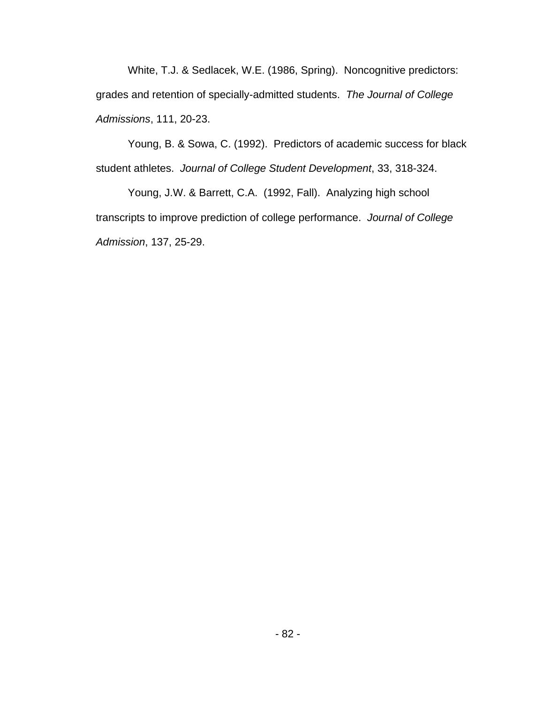White, T.J. & Sedlacek, W.E. (1986, Spring). Noncognitive predictors: grades and retention of specially-admitted students. *The Journal of College Admissions*, 111, 20-23.

 Young, B. & Sowa, C. (1992). Predictors of academic success for black student athletes. *Journal of College Student Development*, 33, 318-324.

 Young, J.W. & Barrett, C.A. (1992, Fall). Analyzing high school transcripts to improve prediction of college performance. *Journal of College Admission*, 137, 25-29.